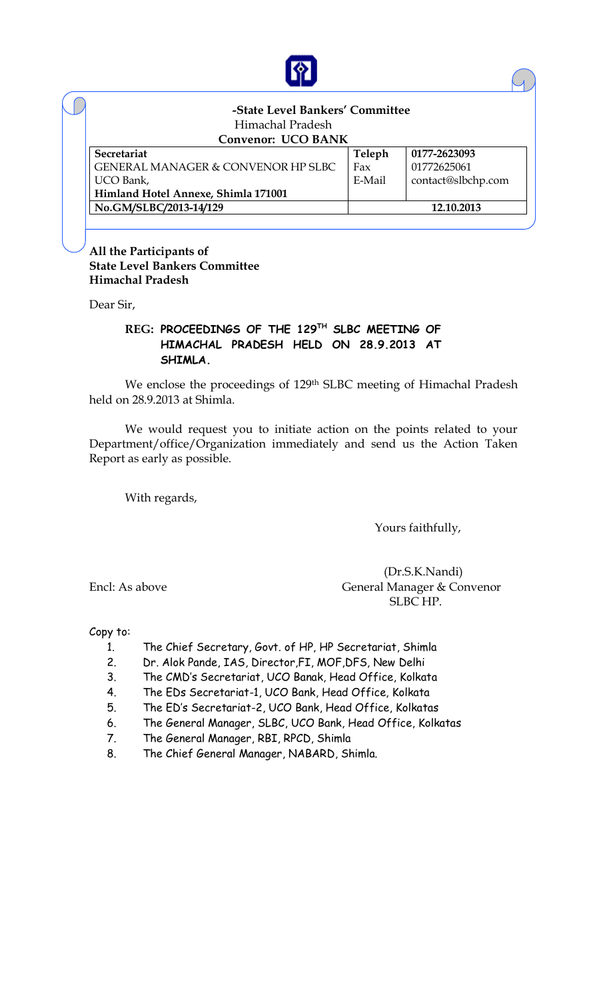

| -State Level Bankers' Committee               |            |                    |  |  |  |  |  |
|-----------------------------------------------|------------|--------------------|--|--|--|--|--|
| Himachal Pradesh                              |            |                    |  |  |  |  |  |
| <b>Convenor: UCO BANK</b>                     |            |                    |  |  |  |  |  |
| Secretariat                                   | Teleph     | 0177-2623093       |  |  |  |  |  |
| <b>GENERAL MANAGER &amp; CONVENOR HP SLBC</b> | Fax        | 01772625061        |  |  |  |  |  |
| UCO Bank,                                     | E-Mail     | contact@slbchp.com |  |  |  |  |  |
| Himland Hotel Annexe, Shimla 171001           |            |                    |  |  |  |  |  |
| No.GM/SLBC/2013-14/129                        | 12.10.2013 |                    |  |  |  |  |  |

**All the Participants of State Level Bankers Committee Himachal Pradesh**

Dear Sir,

## **REG: PROCEEDINGS OF THE 129TH SLBC MEETING OF HIMACHAL PRADESH HELD ON 28.9.2013 AT SHIMLA.**

We enclose the proceedings of 129th SLBC meeting of Himachal Pradesh held on 28.9.2013 at Shimla.

We would request you to initiate action on the points related to your Department/office/Organization immediately and send us the Action Taken Report as early as possible.

With regards,

Yours faithfully,

 (Dr.S.K.Nandi) Encl: As above General Manager & Convenor SLBC HP.

Copy to:

- 1. The Chief Secretary, Govt. of HP, HP Secretariat, Shimla
- 2. Dr. Alok Pande, IAS, Director,FI, MOF,DFS, New Delhi
- 3. The CMD's Secretariat, UCO Banak, Head Office, Kolkata
- 4. The EDs Secretariat-1, UCO Bank, Head Office, Kolkata
- 5. The ED's Secretariat-2, UCO Bank, Head Office, Kolkatas
- 6. The General Manager, SLBC, UCO Bank, Head Office, Kolkatas
- 7. The General Manager, RBI, RPCD, Shimla
- 8. The Chief General Manager, NABARD, Shimla.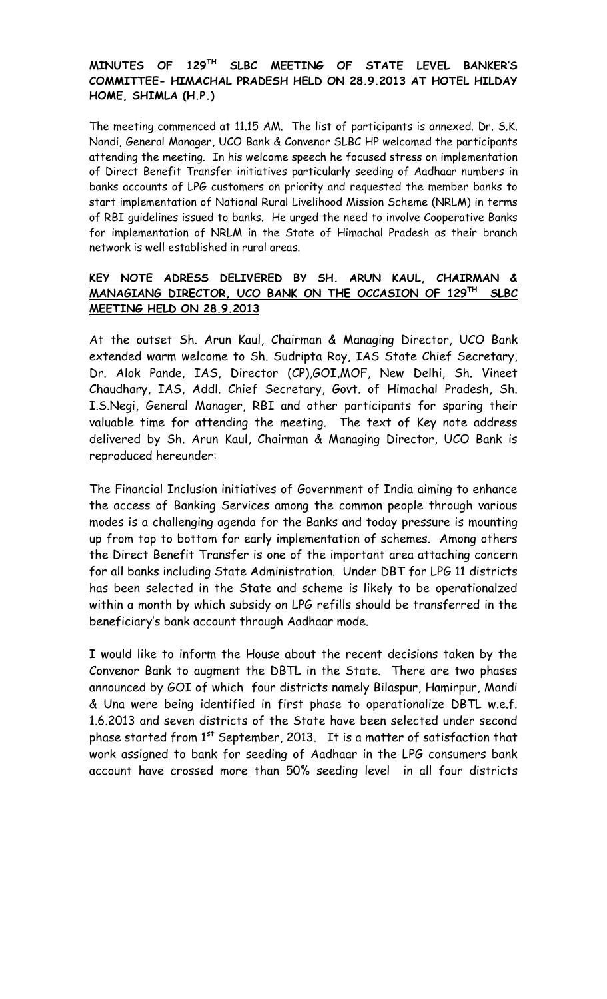## **MINUTES OF 129TH SLBC MEETING OF STATE LEVEL BANKER'S COMMITTEE- HIMACHAL PRADESH HELD ON 28.9.2013 AT HOTEL HILDAY HOME, SHIMLA (H.P.)**

The meeting commenced at 11.15 AM. The list of participants is annexed. Dr. S.K. Nandi, General Manager, UCO Bank & Convenor SLBC HP welcomed the participants attending the meeting. In his welcome speech he focused stress on implementation of Direct Benefit Transfer initiatives particularly seeding of Aadhaar numbers in banks accounts of LPG customers on priority and requested the member banks to start implementation of National Rural Livelihood Mission Scheme (NRLM) in terms of RBI guidelines issued to banks. He urged the need to involve Cooperative Banks for implementation of NRLM in the State of Himachal Pradesh as their branch network is well established in rural areas.

#### **KEY NOTE ADRESS DELIVERED BY SH. ARUN KAUL, CHAIRMAN & MANAGIANG DIRECTOR, UCO BANK ON THE OCCASION OF 129TH SLBC MEETING HELD ON 28.9.2013**

At the outset Sh. Arun Kaul, Chairman & Managing Director, UCO Bank extended warm welcome to Sh. Sudripta Roy, IAS State Chief Secretary, Dr. Alok Pande, IAS, Director (CP),GOI,MOF, New Delhi, Sh. Vineet Chaudhary, IAS, Addl. Chief Secretary, Govt. of Himachal Pradesh, Sh. I.S.Negi, General Manager, RBI and other participants for sparing their valuable time for attending the meeting. The text of Key note address delivered by Sh. Arun Kaul, Chairman & Managing Director, UCO Bank is reproduced hereunder:

The Financial Inclusion initiatives of Government of India aiming to enhance the access of Banking Services among the common people through various modes is a challenging agenda for the Banks and today pressure is mounting up from top to bottom for early implementation of schemes. Among others the Direct Benefit Transfer is one of the important area attaching concern for all banks including State Administration. Under DBT for LPG 11 districts has been selected in the State and scheme is likely to be operationalzed within a month by which subsidy on LPG refills should be transferred in the beneficiary's bank account through Aadhaar mode.

I would like to inform the House about the recent decisions taken by the Convenor Bank to augment the DBTL in the State. There are two phases announced by GOI of which four districts namely Bilaspur, Hamirpur, Mandi & Una were being identified in first phase to operationalize DBTL w.e.f. 1.6.2013 and seven districts of the State have been selected under second phase started from  $1<sup>st</sup>$  September, 2013. It is a matter of satisfaction that work assigned to bank for seeding of Aadhaar in the LPG consumers bank account have crossed more than 50% seeding level in all four districts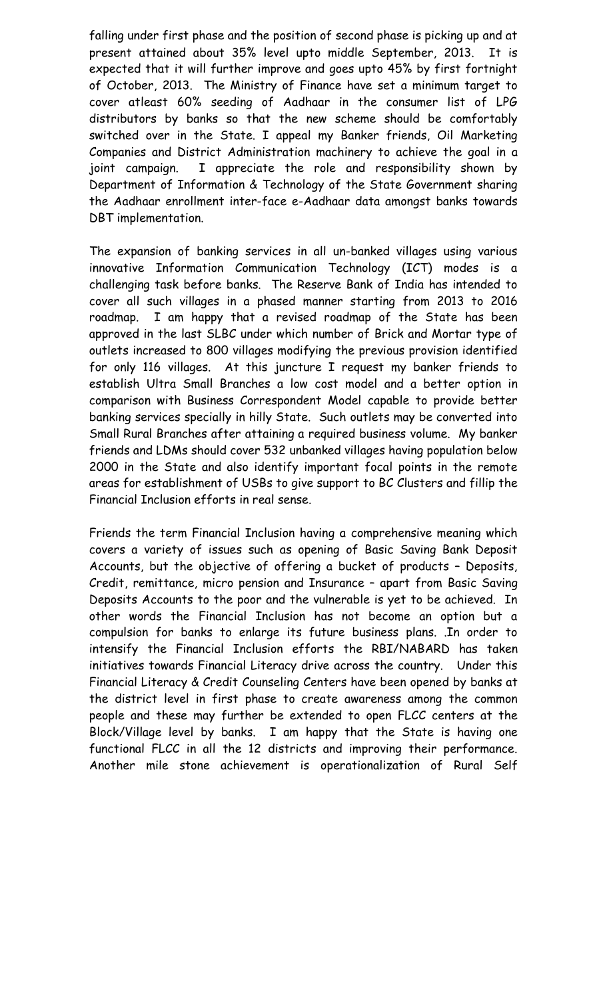falling under first phase and the position of second phase is picking up and at present attained about 35% level upto middle September, 2013. It is expected that it will further improve and goes upto 45% by first fortnight of October, 2013. The Ministry of Finance have set a minimum target to cover atleast 60% seeding of Aadhaar in the consumer list of LPG distributors by banks so that the new scheme should be comfortably switched over in the State. I appeal my Banker friends, Oil Marketing Companies and District Administration machinery to achieve the goal in a joint campaign. I appreciate the role and responsibility shown by Department of Information & Technology of the State Government sharing the Aadhaar enrollment inter-face e-Aadhaar data amongst banks towards DBT implementation.

The expansion of banking services in all un-banked villages using various innovative Information Communication Technology (ICT) modes is a challenging task before banks. The Reserve Bank of India has intended to cover all such villages in a phased manner starting from 2013 to 2016 roadmap. I am happy that a revised roadmap of the State has been approved in the last SLBC under which number of Brick and Mortar type of outlets increased to 800 villages modifying the previous provision identified for only 116 villages. At this juncture I request my banker friends to establish Ultra Small Branches a low cost model and a better option in comparison with Business Correspondent Model capable to provide better banking services specially in hilly State. Such outlets may be converted into Small Rural Branches after attaining a required business volume. My banker friends and LDMs should cover 532 unbanked villages having population below 2000 in the State and also identify important focal points in the remote areas for establishment of USBs to give support to BC Clusters and fillip the Financial Inclusion efforts in real sense.

Friends the term Financial Inclusion having a comprehensive meaning which covers a variety of issues such as opening of Basic Saving Bank Deposit Accounts, but the objective of offering a bucket of products – Deposits, Credit, remittance, micro pension and Insurance – apart from Basic Saving Deposits Accounts to the poor and the vulnerable is yet to be achieved. In other words the Financial Inclusion has not become an option but a compulsion for banks to enlarge its future business plans. .In order to intensify the Financial Inclusion efforts the RBI/NABARD has taken initiatives towards Financial Literacy drive across the country. Under this Financial Literacy & Credit Counseling Centers have been opened by banks at the district level in first phase to create awareness among the common people and these may further be extended to open FLCC centers at the Block/Village level by banks. I am happy that the State is having one functional FLCC in all the 12 districts and improving their performance. Another mile stone achievement is operationalization of Rural Self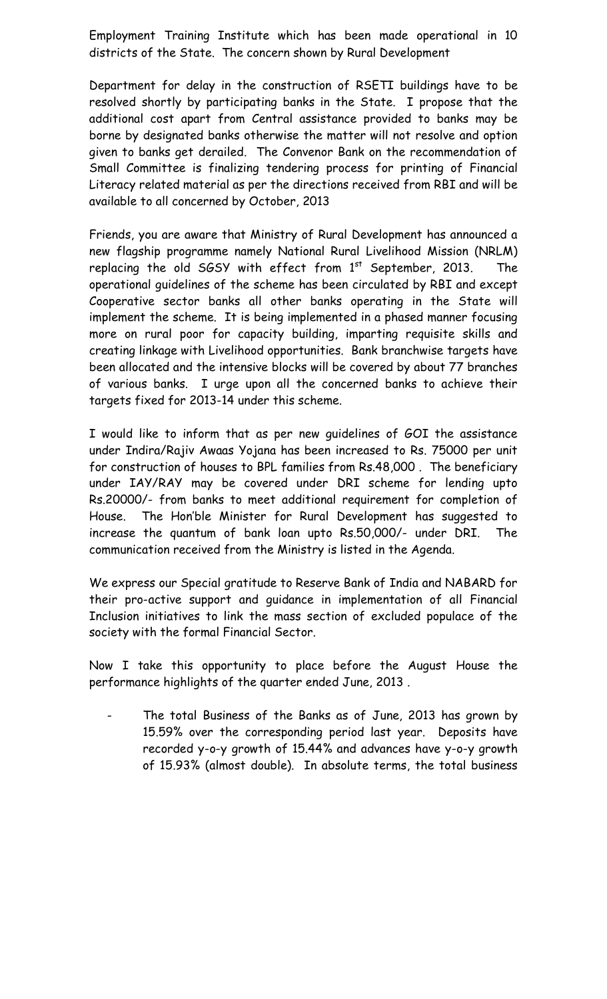Employment Training Institute which has been made operational in 10 districts of the State. The concern shown by Rural Development

Department for delay in the construction of RSETI buildings have to be resolved shortly by participating banks in the State. I propose that the additional cost apart from Central assistance provided to banks may be borne by designated banks otherwise the matter will not resolve and option given to banks get derailed. The Convenor Bank on the recommendation of Small Committee is finalizing tendering process for printing of Financial Literacy related material as per the directions received from RBI and will be available to all concerned by October, 2013

Friends, you are aware that Ministry of Rural Development has announced a new flagship programme namely National Rural Livelihood Mission (NRLM) replacing the old SGSY with effect from  $1^{st}$  September, 2013. The operational guidelines of the scheme has been circulated by RBI and except Cooperative sector banks all other banks operating in the State will implement the scheme. It is being implemented in a phased manner focusing more on rural poor for capacity building, imparting requisite skills and creating linkage with Livelihood opportunities. Bank branchwise targets have been allocated and the intensive blocks will be covered by about 77 branches of various banks. I urge upon all the concerned banks to achieve their targets fixed for 2013-14 under this scheme.

I would like to inform that as per new guidelines of GOI the assistance under Indira/Rajiv Awaas Yojana has been increased to Rs. 75000 per unit for construction of houses to BPL families from Rs.48,000 . The beneficiary under IAY/RAY may be covered under DRI scheme for lending upto Rs.20000/- from banks to meet additional requirement for completion of House. The Hon'ble Minister for Rural Development has suggested to increase the quantum of bank loan upto Rs.50,000/- under DRI. The communication received from the Ministry is listed in the Agenda.

We express our Special gratitude to Reserve Bank of India and NABARD for their pro-active support and guidance in implementation of all Financial Inclusion initiatives to link the mass section of excluded populace of the society with the formal Financial Sector.

Now I take this opportunity to place before the August House the performance highlights of the quarter ended June, 2013 .

The total Business of the Banks as of June, 2013 has grown by 15.59% over the corresponding period last year. Deposits have recorded y-o-y growth of 15.44% and advances have y-o-y growth of 15.93% (almost double). In absolute terms, the total business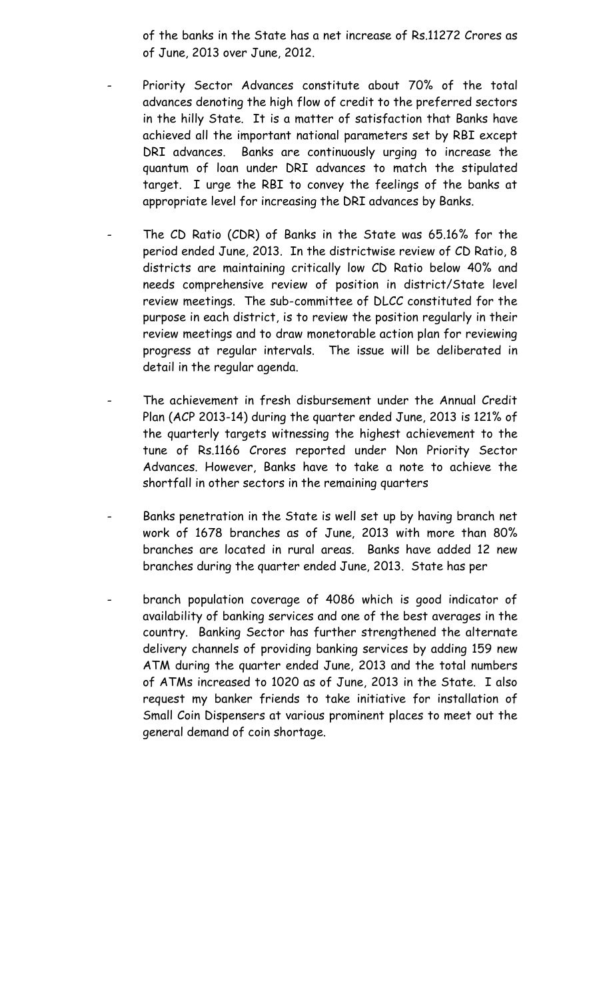of the banks in the State has a net increase of Rs.11272 Crores as of June, 2013 over June, 2012.

- Priority Sector Advances constitute about 70% of the total advances denoting the high flow of credit to the preferred sectors in the hilly State. It is a matter of satisfaction that Banks have achieved all the important national parameters set by RBI except DRI advances. Banks are continuously urging to increase the quantum of loan under DRI advances to match the stipulated target. I urge the RBI to convey the feelings of the banks at appropriate level for increasing the DRI advances by Banks.
- The CD Ratio (CDR) of Banks in the State was 65.16% for the period ended June, 2013. In the districtwise review of CD Ratio, 8 districts are maintaining critically low CD Ratio below 40% and needs comprehensive review of position in district/State level review meetings. The sub-committee of DLCC constituted for the purpose in each district, is to review the position regularly in their review meetings and to draw monetorable action plan for reviewing progress at regular intervals. The issue will be deliberated in detail in the regular agenda.
- The achievement in fresh disbursement under the Annual Credit Plan (ACP 2013-14) during the quarter ended June, 2013 is 121% of the quarterly targets witnessing the highest achievement to the tune of Rs.1166 Crores reported under Non Priority Sector Advances. However, Banks have to take a note to achieve the shortfall in other sectors in the remaining quarters
- Banks penetration in the State is well set up by having branch net work of 1678 branches as of June, 2013 with more than 80% branches are located in rural areas. Banks have added 12 new branches during the quarter ended June, 2013. State has per
- branch population coverage of 4086 which is good indicator of availability of banking services and one of the best averages in the country. Banking Sector has further strengthened the alternate delivery channels of providing banking services by adding 159 new ATM during the quarter ended June, 2013 and the total numbers of ATMs increased to 1020 as of June, 2013 in the State. I also request my banker friends to take initiative for installation of Small Coin Dispensers at various prominent places to meet out the general demand of coin shortage.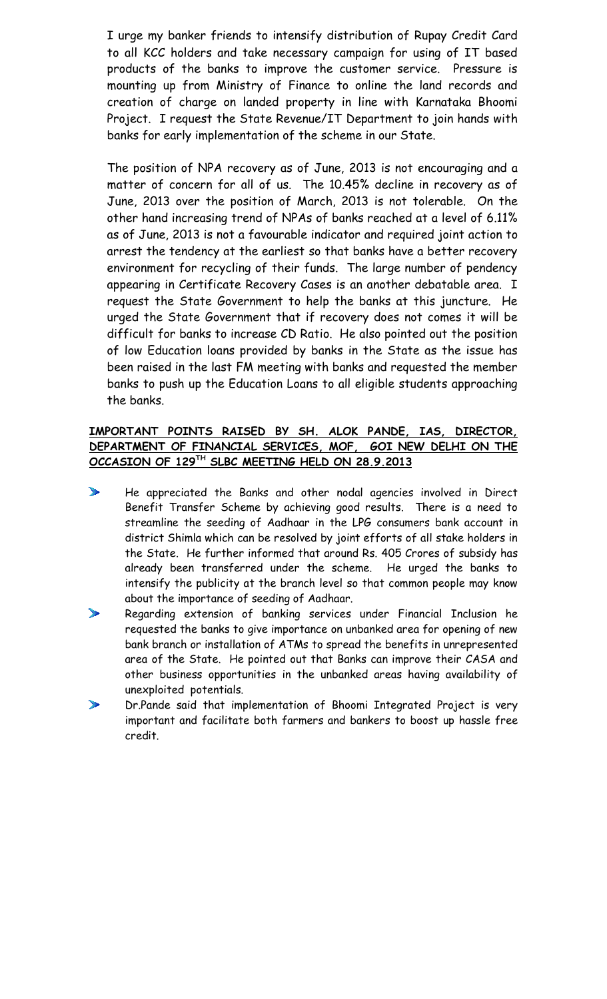I urge my banker friends to intensify distribution of Rupay Credit Card to all KCC holders and take necessary campaign for using of IT based products of the banks to improve the customer service. Pressure is mounting up from Ministry of Finance to online the land records and creation of charge on landed property in line with Karnataka Bhoomi Project. I request the State Revenue/IT Department to join hands with banks for early implementation of the scheme in our State.

The position of NPA recovery as of June, 2013 is not encouraging and a matter of concern for all of us. The 10.45% decline in recovery as of June, 2013 over the position of March, 2013 is not tolerable. On the other hand increasing trend of NPAs of banks reached at a level of 6.11% as of June, 2013 is not a favourable indicator and required joint action to arrest the tendency at the earliest so that banks have a better recovery environment for recycling of their funds. The large number of pendency appearing in Certificate Recovery Cases is an another debatable area. I request the State Government to help the banks at this juncture. He urged the State Government that if recovery does not comes it will be difficult for banks to increase CD Ratio. He also pointed out the position of low Education loans provided by banks in the State as the issue has been raised in the last FM meeting with banks and requested the member banks to push up the Education Loans to all eligible students approaching the banks.

## **IMPORTANT POINTS RAISED BY SH. ALOK PANDE, IAS, DIRECTOR, DEPARTMENT OF FINANCIAL SERVICES, MOF, GOI NEW DELHI ON THE OCCASION OF 129TH SLBC MEETING HELD ON 28.9.2013**

- $\mathbf{r}$ He appreciated the Banks and other nodal agencies involved in Direct Benefit Transfer Scheme by achieving good results. There is a need to streamline the seeding of Aadhaar in the LPG consumers bank account in district Shimla which can be resolved by joint efforts of all stake holders in the State. He further informed that around Rs. 405 Crores of subsidy has already been transferred under the scheme. He urged the banks to intensify the publicity at the branch level so that common people may know about the importance of seeding of Aadhaar.
- $\mathbb{Z}$ Regarding extension of banking services under Financial Inclusion he requested the banks to give importance on unbanked area for opening of new bank branch or installation of ATMs to spread the benefits in unrepresented area of the State. He pointed out that Banks can improve their CASA and other business opportunities in the unbanked areas having availability of unexploited potentials.
- $\sum_{i=1}^{n}$ Dr.Pande said that implementation of Bhoomi Integrated Project is very important and facilitate both farmers and bankers to boost up hassle free credit.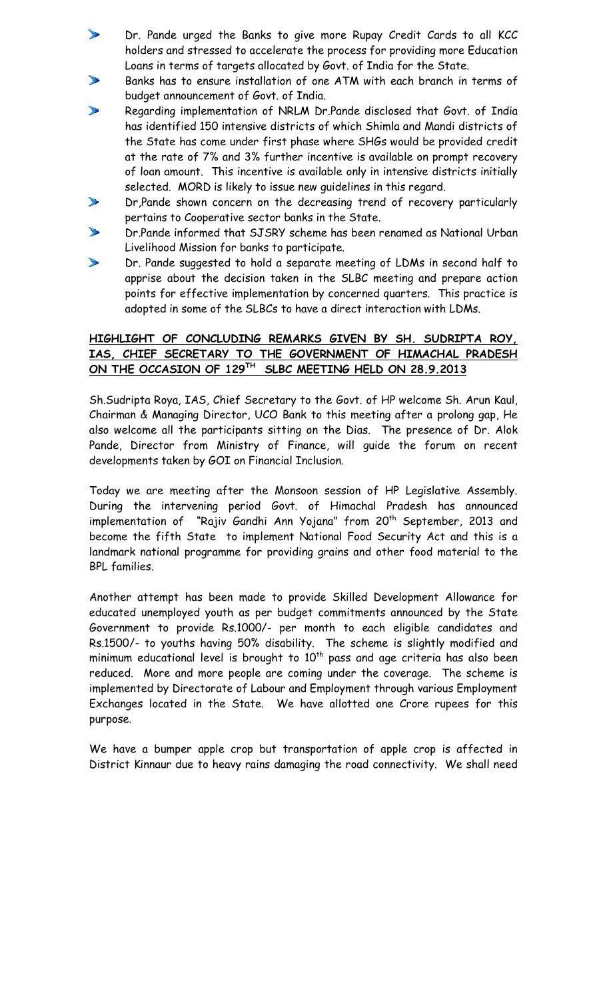- Dr. Pande urged the Banks to give more Rupay Credit Cards to all KCC  $\blacktriangleright$ holders and stressed to accelerate the process for providing more Education Loans in terms of targets allocated by Govt. of India for the State.
- $\blacktriangleright$ Banks has to ensure installation of one ATM with each branch in terms of budget announcement of Govt. of India.
- $\mathbf{r}$ Regarding implementation of NRLM Dr.Pande disclosed that Govt. of India has identified 150 intensive districts of which Shimla and Mandi districts of the State has come under first phase where SHGs would be provided credit at the rate of 7% and 3% further incentive is available on prompt recovery of loan amount. This incentive is available only in intensive districts initially selected. MORD is likely to issue new guidelines in this regard.
- Dr,Pande shown concern on the decreasing trend of recovery particularly  $\mathcal{L}$ pertains to Cooperative sector banks in the State.
- Dr.Pande informed that SJSRY scheme has been renamed as National Urban  $\mathbf{r}$ Livelihood Mission for banks to participate.
- $\blacktriangleright$ Dr. Pande suggested to hold a separate meeting of LDMs in second half to apprise about the decision taken in the SLBC meeting and prepare action points for effective implementation by concerned quarters. This practice is adopted in some of the SLBCs to have a direct interaction with LDMs.

#### **HIGHLIGHT OF CONCLUDING REMARKS GIVEN BY SH. SUDRIPTA ROY, IAS, CHIEF SECRETARY TO THE GOVERNMENT OF HIMACHAL PRADESH ON THE OCCASION OF 129TH SLBC MEETING HELD ON 28.9.2013**

Sh.Sudripta Roya, IAS, Chief Secretary to the Govt. of HP welcome Sh. Arun Kaul, Chairman & Managing Director, UCO Bank to this meeting after a prolong gap, He also welcome all the participants sitting on the Dias. The presence of Dr. Alok Pande, Director from Ministry of Finance, will guide the forum on recent developments taken by GOI on Financial Inclusion.

Today we are meeting after the Monsoon session of HP Legislative Assembly. During the intervening period Govt. of Himachal Pradesh has announced implementation of "Rajiv Gandhi Ann Yojana" from 20<sup>th</sup> September, 2013 and become the fifth State to implement National Food Security Act and this is a landmark national programme for providing grains and other food material to the BPL families.

Another attempt has been made to provide Skilled Development Allowance for educated unemployed youth as per budget commitments announced by the State Government to provide Rs.1000/- per month to each eligible candidates and Rs.1500/- to youths having 50% disability. The scheme is slightly modified and minimum educational level is brought to  $10<sup>th</sup>$  pass and age criteria has also been reduced. More and more people are coming under the coverage. The scheme is implemented by Directorate of Labour and Employment through various Employment Exchanges located in the State. We have allotted one Crore rupees for this purpose.

We have a bumper apple crop but transportation of apple crop is affected in District Kinnaur due to heavy rains damaging the road connectivity. We shall need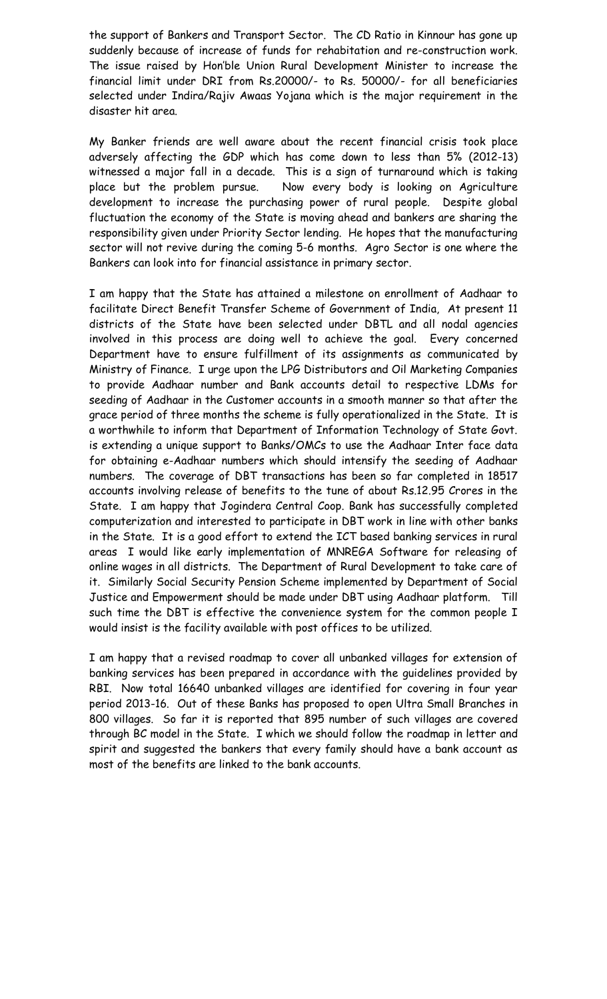the support of Bankers and Transport Sector. The CD Ratio in Kinnour has gone up suddenly because of increase of funds for rehabitation and re-construction work. The issue raised by Hon'ble Union Rural Development Minister to increase the financial limit under DRI from Rs.20000/- to Rs. 50000/- for all beneficiaries selected under Indira/Rajiv Awaas Yojana which is the major requirement in the disaster hit area.

My Banker friends are well aware about the recent financial crisis took place adversely affecting the GDP which has come down to less than 5% (2012-13) witnessed a major fall in a decade. This is a sign of turnaround which is taking place but the problem pursue. Now every body is looking on Agriculture development to increase the purchasing power of rural people. Despite global fluctuation the economy of the State is moving ahead and bankers are sharing the responsibility given under Priority Sector lending. He hopes that the manufacturing sector will not revive during the coming 5-6 months. Agro Sector is one where the Bankers can look into for financial assistance in primary sector.

I am happy that the State has attained a milestone on enrollment of Aadhaar to facilitate Direct Benefit Transfer Scheme of Government of India, At present 11 districts of the State have been selected under DBTL and all nodal agencies involved in this process are doing well to achieve the goal. Every concerned Department have to ensure fulfillment of its assignments as communicated by Ministry of Finance. I urge upon the LPG Distributors and Oil Marketing Companies to provide Aadhaar number and Bank accounts detail to respective LDMs for seeding of Aadhaar in the Customer accounts in a smooth manner so that after the grace period of three months the scheme is fully operationalized in the State. It is a worthwhile to inform that Department of Information Technology of State Govt. is extending a unique support to Banks/OMCs to use the Aadhaar Inter face data for obtaining e-Aadhaar numbers which should intensify the seeding of Aadhaar numbers. The coverage of DBT transactions has been so far completed in 18517 accounts involving release of benefits to the tune of about Rs.12.95 Crores in the State. I am happy that Jogindera Central Coop. Bank has successfully completed computerization and interested to participate in DBT work in line with other banks in the State. It is a good effort to extend the ICT based banking services in rural areas I would like early implementation of MNREGA Software for releasing of online wages in all districts. The Department of Rural Development to take care of it. Similarly Social Security Pension Scheme implemented by Department of Social Justice and Empowerment should be made under DBT using Aadhaar platform. Till such time the DBT is effective the convenience system for the common people I would insist is the facility available with post offices to be utilized.

I am happy that a revised roadmap to cover all unbanked villages for extension of banking services has been prepared in accordance with the guidelines provided by RBI. Now total 16640 unbanked villages are identified for covering in four year period 2013-16. Out of these Banks has proposed to open Ultra Small Branches in 800 villages. So far it is reported that 895 number of such villages are covered through BC model in the State. I which we should follow the roadmap in letter and spirit and suggested the bankers that every family should have a bank account as most of the benefits are linked to the bank accounts.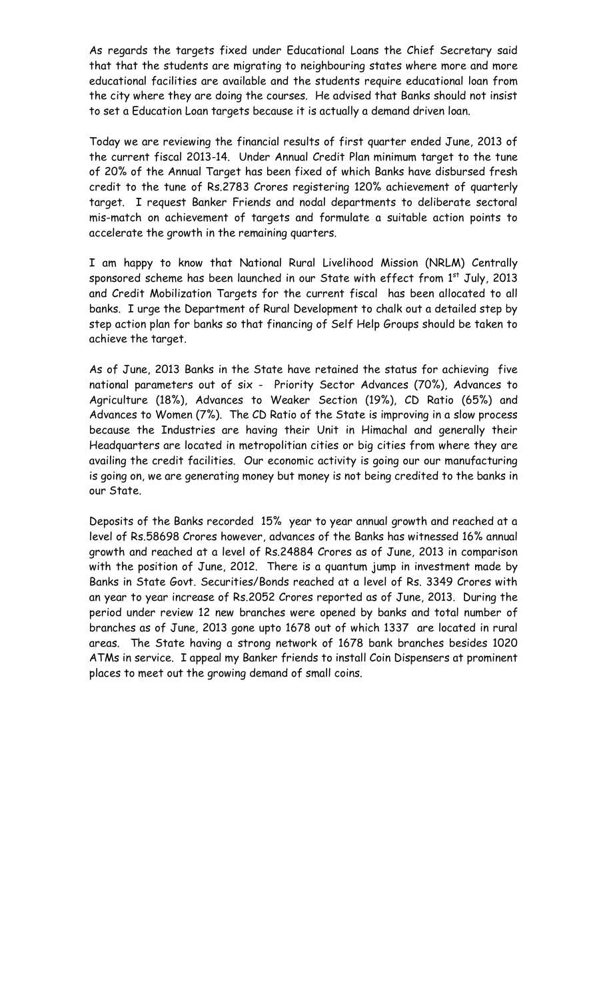As regards the targets fixed under Educational Loans the Chief Secretary said that that the students are migrating to neighbouring states where more and more educational facilities are available and the students require educational loan from the city where they are doing the courses. He advised that Banks should not insist to set a Education Loan targets because it is actually a demand driven loan.

Today we are reviewing the financial results of first quarter ended June, 2013 of the current fiscal 2013-14. Under Annual Credit Plan minimum target to the tune of 20% of the Annual Target has been fixed of which Banks have disbursed fresh credit to the tune of Rs.2783 Crores registering 120% achievement of quarterly target. I request Banker Friends and nodal departments to deliberate sectoral mis-match on achievement of targets and formulate a suitable action points to accelerate the growth in the remaining quarters.

I am happy to know that National Rural Livelihood Mission (NRLM) Centrally sponsored scheme has been launched in our State with effect from 1<sup>st</sup> July, 2013 and Credit Mobilization Targets for the current fiscal has been allocated to all banks. I urge the Department of Rural Development to chalk out a detailed step by step action plan for banks so that financing of Self Help Groups should be taken to achieve the target.

As of June, 2013 Banks in the State have retained the status for achieving five national parameters out of six - Priority Sector Advances (70%), Advances to Agriculture (18%), Advances to Weaker Section (19%), CD Ratio (65%) and Advances to Women (7%). The CD Ratio of the State is improving in a slow process because the Industries are having their Unit in Himachal and generally their Headquarters are located in metropolitian cities or big cities from where they are availing the credit facilities. Our economic activity is going our our manufacturing is going on, we are generating money but money is not being credited to the banks in our State.

Deposits of the Banks recorded 15% year to year annual growth and reached at a level of Rs.58698 Crores however, advances of the Banks has witnessed 16% annual growth and reached at a level of Rs.24884 Crores as of June, 2013 in comparison with the position of June, 2012. There is a quantum jump in investment made by Banks in State Govt. Securities/Bonds reached at a level of Rs. 3349 Crores with an year to year increase of Rs.2052 Crores reported as of June, 2013. During the period under review 12 new branches were opened by banks and total number of branches as of June, 2013 gone upto 1678 out of which 1337 are located in rural areas. The State having a strong network of 1678 bank branches besides 1020 ATMs in service. I appeal my Banker friends to install Coin Dispensers at prominent places to meet out the growing demand of small coins.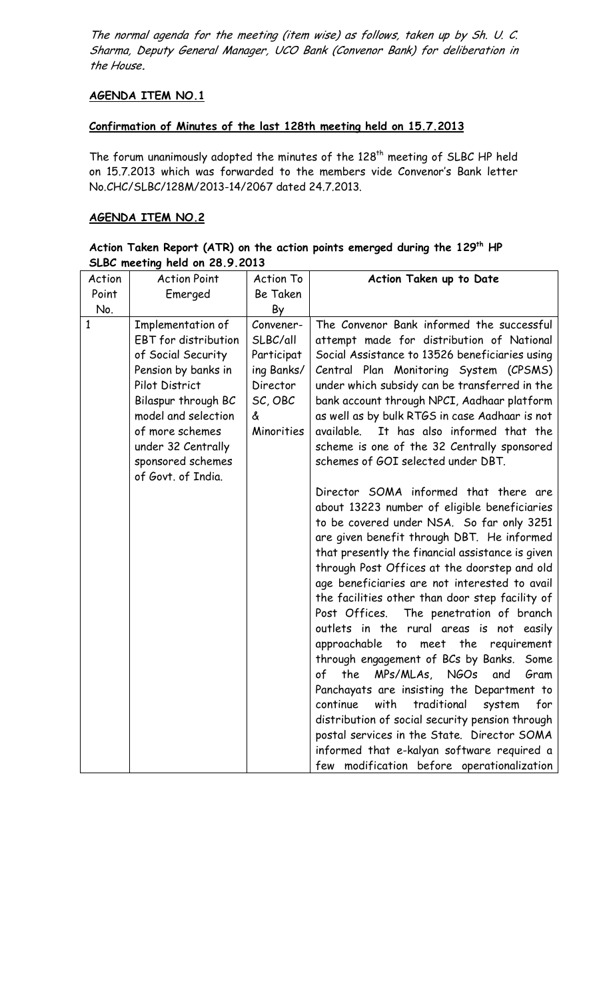The normal agenda for the meeting (item wise) as follows, taken up by Sh. U. C. Sharma, Deputy General Manager, UCO Bank (Convenor Bank) for deliberation in the House**.**

## **AGENDA ITEM NO.1**

#### **Confirmation of Minutes of the last 128th meeting held on 15.7.2013**

The forum unanimously adopted the minutes of the 128<sup>th</sup> meeting of SLBC HP held on 15.7.2013 which was forwarded to the members vide Convenor's Bank letter No.CHC/SLBC/128M/2013-14/2067 dated 24.7.2013.

#### **AGENDA ITEM NO.2**

| Action Taken Report (ATR) on the action points emerged during the 129 <sup>th</sup> HP |  |  |  |  |  |
|----------------------------------------------------------------------------------------|--|--|--|--|--|
| SLBC meeting held on 28.9.2013                                                         |  |  |  |  |  |

| Action       | <b>Action Point</b>                                                                                                                                                                                                                               | <b>Action To</b>                                                                            | Action Taken up to Date                                                                                                                                                                                                                                                                                                                                                                                                                                                                                                                                                                                                                                                                                                                                                                                                                                                                                                                                                                                                                                                                                                                                                                                                                                                                                                                                                                                             |
|--------------|---------------------------------------------------------------------------------------------------------------------------------------------------------------------------------------------------------------------------------------------------|---------------------------------------------------------------------------------------------|---------------------------------------------------------------------------------------------------------------------------------------------------------------------------------------------------------------------------------------------------------------------------------------------------------------------------------------------------------------------------------------------------------------------------------------------------------------------------------------------------------------------------------------------------------------------------------------------------------------------------------------------------------------------------------------------------------------------------------------------------------------------------------------------------------------------------------------------------------------------------------------------------------------------------------------------------------------------------------------------------------------------------------------------------------------------------------------------------------------------------------------------------------------------------------------------------------------------------------------------------------------------------------------------------------------------------------------------------------------------------------------------------------------------|
| Point        | Emerged                                                                                                                                                                                                                                           | <b>Be Taken</b>                                                                             |                                                                                                                                                                                                                                                                                                                                                                                                                                                                                                                                                                                                                                                                                                                                                                                                                                                                                                                                                                                                                                                                                                                                                                                                                                                                                                                                                                                                                     |
| No.          |                                                                                                                                                                                                                                                   | By                                                                                          |                                                                                                                                                                                                                                                                                                                                                                                                                                                                                                                                                                                                                                                                                                                                                                                                                                                                                                                                                                                                                                                                                                                                                                                                                                                                                                                                                                                                                     |
| $\mathbf{1}$ | Implementation of<br><b>EBT</b> for distribution<br>of Social Security<br>Pension by banks in<br>Pilot District<br>Bilaspur through BC<br>model and selection<br>of more schemes<br>under 32 Centrally<br>sponsored schemes<br>of Govt. of India. | Convener-<br>SLBC/all<br>Participat<br>ing Banks/<br>Director<br>SC, OBC<br>ፈ<br>Minorities | The Convenor Bank informed the successful<br>attempt made for distribution of National<br>Social Assistance to 13526 beneficiaries using<br>Central Plan Monitoring System (CPSMS)<br>under which subsidy can be transferred in the<br>bank account through NPCI, Aadhaar platform<br>as well as by bulk RTGS in case Aadhaar is not<br>It has also informed that the<br>available.<br>scheme is one of the 32 Centrally sponsored<br>schemes of GOI selected under DBT.<br>Director SOMA informed that there are<br>about 13223 number of eligible beneficiaries<br>to be covered under NSA. So far only 3251<br>are given benefit through DBT. He informed<br>that presently the financial assistance is given<br>through Post Offices at the doorstep and old<br>age beneficiaries are not interested to avail<br>the facilities other than door step facility of<br>Post Offices.<br>The penetration of branch<br>outlets in the rural areas is not easily<br>approachable<br>to meet the<br>requirement<br>through engagement of BCs by Banks.<br>Some<br><b>NGOs</b><br>of<br>the<br>MPs/MLAs,<br>Gram<br>and<br>Panchayats are insisting the Department to<br>continue<br>with<br>traditional<br>system<br>for<br>distribution of social security pension through<br>postal services in the State. Director SOMA<br>informed that e-kalyan software required a<br>few modification before operationalization |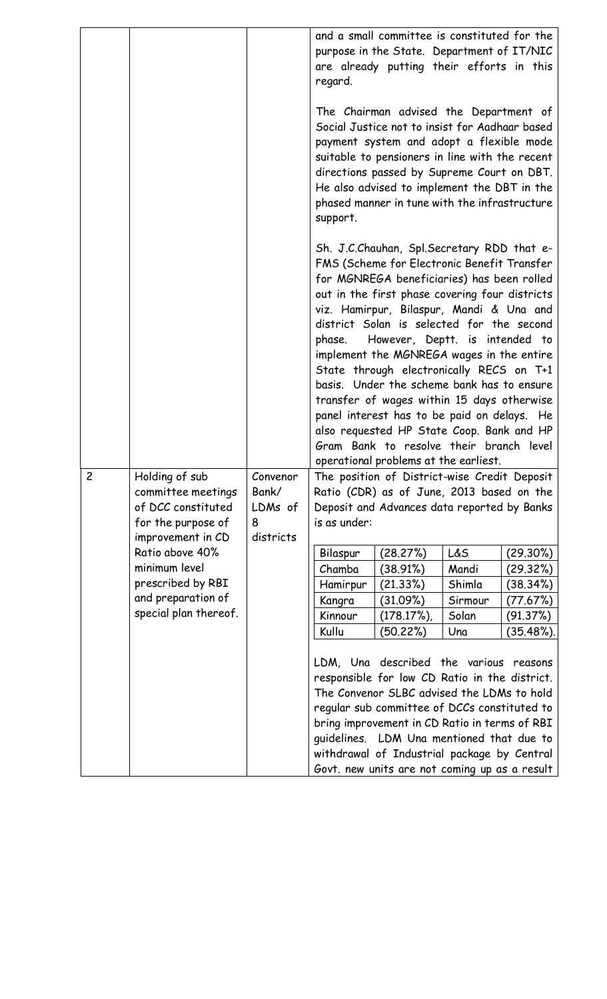|                |                                             |              | regard.           | and a small committee is constituted for the<br>purpose in the State. Department of IT/NIC<br>are already putting their efforts in this                                                                                                                                                                                                                                                                                                                                                                                                                                                                                                                                                          |                  |                      |
|----------------|---------------------------------------------|--------------|-------------------|--------------------------------------------------------------------------------------------------------------------------------------------------------------------------------------------------------------------------------------------------------------------------------------------------------------------------------------------------------------------------------------------------------------------------------------------------------------------------------------------------------------------------------------------------------------------------------------------------------------------------------------------------------------------------------------------------|------------------|----------------------|
|                |                                             |              | support.          | The Chairman advised the Department of<br>Social Justice not to insist for Aadhaar based<br>payment system and adopt a flexible mode<br>suitable to pensioners in line with the recent<br>directions passed by Supreme Court on DBT.<br>He also advised to implement the DBT in the<br>phased manner in tune with the infrastructure                                                                                                                                                                                                                                                                                                                                                             |                  |                      |
|                |                                             |              |                   | Sh. J.C.Chauhan, Spl.Secretary RDD that e-<br>FMS (Scheme for Electronic Benefit Transfer<br>for MGNREGA beneficiaries) has been rolled<br>out in the first phase covering four districts<br>viz. Hamirpur, Bilaspur, Mandi & Una and<br>district Solan is selected for the second<br>phase. However, Deptt. is intended to<br>implement the MGNREGA wages in the entire<br>State through electronically RECS on T+1<br>basis. Under the scheme bank has to ensure<br>transfer of wages within 15 days otherwise<br>panel interest has to be paid on delays. He<br>also requested HP State Coop. Bank and HP<br>Gram Bank to resolve their branch level<br>operational problems at the earliest. |                  |                      |
| $\overline{c}$ | Holding of sub                              | Convenor     |                   | The position of District-wise Credit Deposit                                                                                                                                                                                                                                                                                                                                                                                                                                                                                                                                                                                                                                                     |                  |                      |
|                | committee meetings                          | Bank/        |                   | Ratio (CDR) as of June, 2013 based on the                                                                                                                                                                                                                                                                                                                                                                                                                                                                                                                                                                                                                                                        |                  |                      |
|                | of DCC constituted<br>for the purpose of    | LDMs of<br>8 | is as under:      | Deposit and Advances data reported by Banks                                                                                                                                                                                                                                                                                                                                                                                                                                                                                                                                                                                                                                                      |                  |                      |
|                | improvement in CD                           | districts    |                   |                                                                                                                                                                                                                                                                                                                                                                                                                                                                                                                                                                                                                                                                                                  |                  |                      |
|                | Ratio above 40%                             |              | Bilaspur          | (28.27%)                                                                                                                                                                                                                                                                                                                                                                                                                                                                                                                                                                                                                                                                                         | L&S              | (29.30%)             |
|                | minimum level                               |              | Chamba            | (38.91%)                                                                                                                                                                                                                                                                                                                                                                                                                                                                                                                                                                                                                                                                                         | Mandi            | (29.32%)             |
|                | prescribed by RBI                           |              | Hamirpur          | (21.33%)                                                                                                                                                                                                                                                                                                                                                                                                                                                                                                                                                                                                                                                                                         | Shimla           | (38.34%)             |
|                | and preparation of<br>special plan thereof. |              | Kangra<br>Kinnour | (31.09%)<br>$(178.17\%)$                                                                                                                                                                                                                                                                                                                                                                                                                                                                                                                                                                                                                                                                         | Sirmour<br>Solan | (77.67%)<br>(91.37%) |
|                |                                             |              | Kullu             | (50.22%)                                                                                                                                                                                                                                                                                                                                                                                                                                                                                                                                                                                                                                                                                         | Una              | $(35.48\%).$         |
|                |                                             |              |                   |                                                                                                                                                                                                                                                                                                                                                                                                                                                                                                                                                                                                                                                                                                  |                  |                      |
|                |                                             |              |                   | LDM, Una described the various reasons                                                                                                                                                                                                                                                                                                                                                                                                                                                                                                                                                                                                                                                           |                  |                      |
|                |                                             |              |                   | responsible for low CD Ratio in the district.                                                                                                                                                                                                                                                                                                                                                                                                                                                                                                                                                                                                                                                    |                  |                      |
|                |                                             |              |                   | The Convenor SLBC advised the LDMs to hold                                                                                                                                                                                                                                                                                                                                                                                                                                                                                                                                                                                                                                                       |                  |                      |
|                |                                             |              |                   | regular sub committee of DCCs constituted to<br>bring improvement in CD Ratio in terms of RBI                                                                                                                                                                                                                                                                                                                                                                                                                                                                                                                                                                                                    |                  |                      |
|                |                                             |              |                   | guidelines. LDM Una mentioned that due to                                                                                                                                                                                                                                                                                                                                                                                                                                                                                                                                                                                                                                                        |                  |                      |
|                |                                             |              |                   | withdrawal of Industrial package by Central                                                                                                                                                                                                                                                                                                                                                                                                                                                                                                                                                                                                                                                      |                  |                      |
|                |                                             |              |                   | Govt. new units are not coming up as a result                                                                                                                                                                                                                                                                                                                                                                                                                                                                                                                                                                                                                                                    |                  |                      |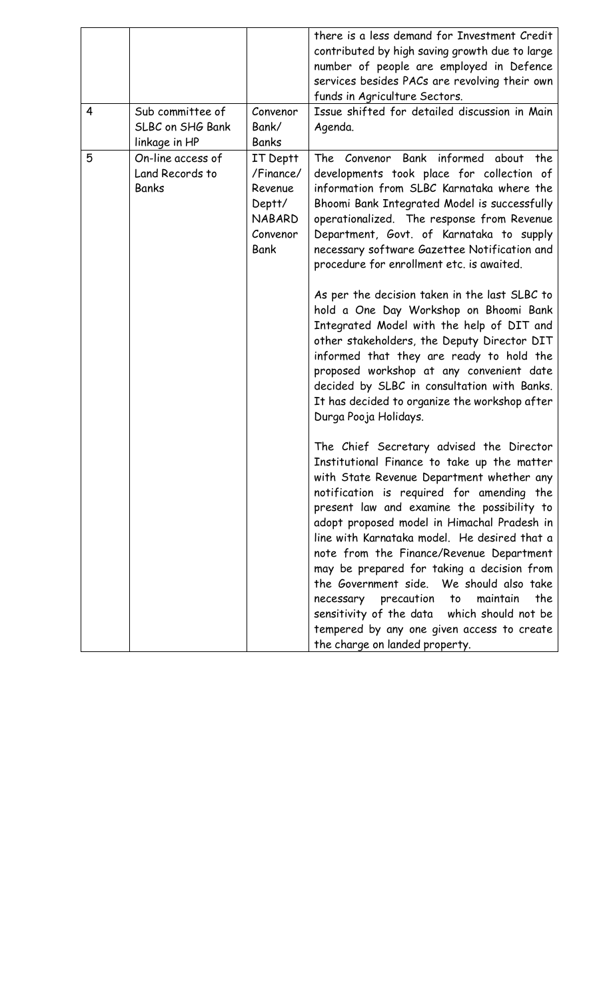|   |                                                       |                                                                                        | there is a less demand for Investment Credit<br>contributed by high saving growth due to large<br>number of people are employed in Defence<br>services besides PACs are revolving their own<br>funds in Agriculture Sectors.                                                                                                                                                                                                                                                                                                                                                                                                                                                                                                                                                              |
|---|-------------------------------------------------------|----------------------------------------------------------------------------------------|-------------------------------------------------------------------------------------------------------------------------------------------------------------------------------------------------------------------------------------------------------------------------------------------------------------------------------------------------------------------------------------------------------------------------------------------------------------------------------------------------------------------------------------------------------------------------------------------------------------------------------------------------------------------------------------------------------------------------------------------------------------------------------------------|
| 4 | Sub committee of<br>SLBC on SHG Bank<br>linkage in HP | Convenor<br>Bank/<br><b>Banks</b>                                                      | Issue shifted for detailed discussion in Main<br>Agenda.                                                                                                                                                                                                                                                                                                                                                                                                                                                                                                                                                                                                                                                                                                                                  |
| 5 | On-line access of<br>Land Records to<br><b>Banks</b>  | IT Deptt<br>/Finance/<br>Revenue<br>Deptt/<br><b>NABARD</b><br>Convenor<br><b>Bank</b> | Bank informed<br>The<br>Convenor<br>about<br>the<br>developments took place for collection of<br>information from SLBC Karnataka where the<br>Bhoomi Bank Integrated Model is successfully<br>operationalized. The response from Revenue<br>Department, Govt. of Karnataka to supply<br>necessary software Gazettee Notification and<br>procedure for enrollment etc. is awaited.<br>As per the decision taken in the last SLBC to<br>hold a One Day Workshop on Bhoomi Bank<br>Integrated Model with the help of DIT and<br>other stakeholders, the Deputy Director DIT<br>informed that they are ready to hold the<br>proposed workshop at any convenient date<br>decided by SLBC in consultation with Banks.<br>It has decided to organize the workshop after<br>Durga Pooja Holidays. |
|   |                                                       |                                                                                        | The Chief Secretary advised the Director<br>Institutional Finance to take up the matter<br>with State Revenue Department whether any<br>notification is required for amending the<br>present law and examine the possibility to<br>adopt proposed model in Himachal Pradesh in<br>line with Karnataka model. He desired that a<br>note from the Finance/Revenue Department<br>may be prepared for taking a decision from<br>the Government side. We should also take<br>maintain<br>the<br>necessary precaution<br>to<br>sensitivity of the data which should not be<br>tempered by any one given access to create<br>the charge on landed property.                                                                                                                                      |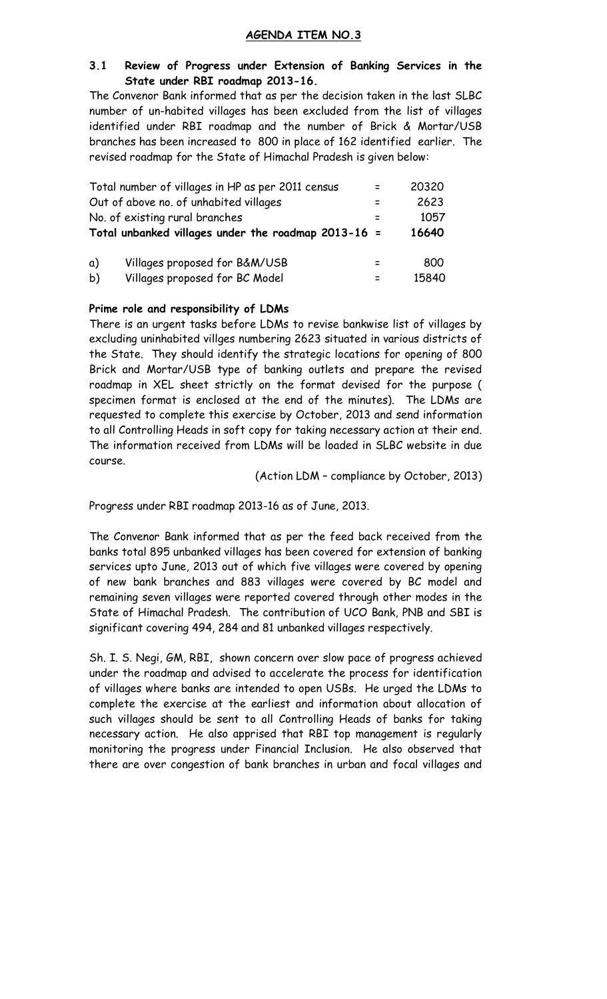#### **AGENDA ITEM NO.3**

#### **3.1 Review of Progress under Extension of Banking Services in the State under RBI roadmap 2013-16.**

The Convenor Bank informed that as per the decision taken in the last SLBC number of un-habited villages has been excluded from the list of villages identified under RBI roadmap and the number of Brick & Mortar/USB branches has been increased to 800 in place of 162 identified earlier. The revised roadmap for the State of Himachal Pradesh is given below:

|    | Total number of villages in HP as per 2011 census       | 20320 |
|----|---------------------------------------------------------|-------|
|    | Out of above no. of unhabited villages                  | 2623  |
|    | No. of existing rural branches                          | 1057  |
|    | Total unbanked villages under the roadmap $2013 - 16 =$ | 16640 |
| a) | Villages proposed for B&M/USB                           | 800   |
| b) | Villages proposed for BC Model                          | 15840 |

#### **Prime role and responsibility of LDMs**

There is an urgent tasks before LDMs to revise bankwise list of villages by excluding uninhabited villges numbering 2623 situated in various districts of the State. They should identify the strategic locations for opening of 800 Brick and Mortar/USB type of banking outlets and prepare the revised roadmap in XEL sheet strictly on the format devised for the purpose ( specimen format is enclosed at the end of the minutes). The LDMs are requested to complete this exercise by October, 2013 and send information to all Controlling Heads in soft copy for taking necessary action at their end. The information received from LDMs will be loaded in SLBC website in due course.

(Action LDM – compliance by October, 2013)

Progress under RBI roadmap 2013-16 as of June, 2013.

The Convenor Bank informed that as per the feed back received from the banks total 895 unbanked villages has been covered for extension of banking services upto June, 2013 out of which five villages were covered by opening of new bank branches and 883 villages were covered by BC model and remaining seven villages were reported covered through other modes in the State of Himachal Pradesh. The contribution of UCO Bank, PNB and SBI is significant covering 494, 284 and 81 unbanked villages respectively.

Sh. I. S. Negi, GM, RBI, shown concern over slow pace of progress achieved under the roadmap and advised to accelerate the process for identification of villages where banks are intended to open USBs. He urged the LDMs to complete the exercise at the earliest and information about allocation of such villages should be sent to all Controlling Heads of banks for taking necessary action. He also apprised that RBI top management is regularly monitoring the progress under Financial Inclusion. He also observed that there are over congestion of bank branches in urban and focal villages and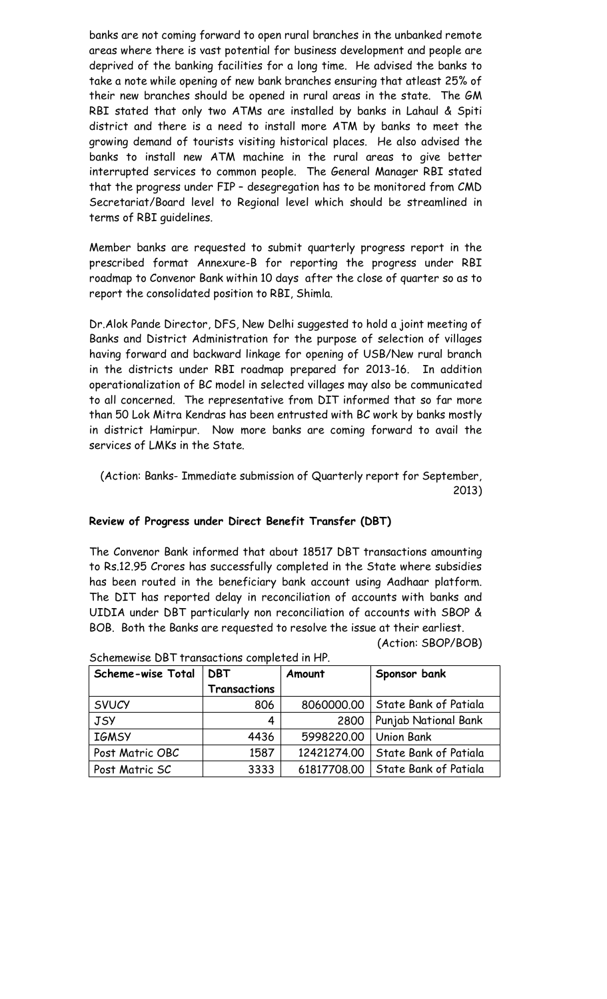banks are not coming forward to open rural branches in the unbanked remote areas where there is vast potential for business development and people are deprived of the banking facilities for a long time. He advised the banks to take a note while opening of new bank branches ensuring that atleast 25% of their new branches should be opened in rural areas in the state. The GM RBI stated that only two ATMs are installed by banks in Lahaul & Spiti district and there is a need to install more ATM by banks to meet the growing demand of tourists visiting historical places. He also advised the banks to install new ATM machine in the rural areas to give better interrupted services to common people. The General Manager RBI stated that the progress under FIP – desegregation has to be monitored from CMD Secretariat/Board level to Regional level which should be streamlined in terms of RBI guidelines.

Member banks are requested to submit quarterly progress report in the prescribed format Annexure-B for reporting the progress under RBI roadmap to Convenor Bank within 10 days after the close of quarter so as to report the consolidated position to RBI, Shimla.

Dr.Alok Pande Director, DFS, New Delhi suggested to hold a joint meeting of Banks and District Administration for the purpose of selection of villages having forward and backward linkage for opening of USB/New rural branch in the districts under RBI roadmap prepared for 2013-16. In addition operationalization of BC model in selected villages may also be communicated to all concerned. The representative from DIT informed that so far more than 50 Lok Mitra Kendras has been entrusted with BC work by banks mostly in district Hamirpur. Now more banks are coming forward to avail the services of LMKs in the State.

(Action: Banks- Immediate submission of Quarterly report for September, 2013)

#### **Review of Progress under Direct Benefit Transfer (DBT)**

The Convenor Bank informed that about 18517 DBT transactions amounting to Rs.12.95 Crores has successfully completed in the State where subsidies has been routed in the beneficiary bank account using Aadhaar platform. The DIT has reported delay in reconciliation of accounts with banks and UIDIA under DBT particularly non reconciliation of accounts with SBOP & BOB. Both the Banks are requested to resolve the issue at their earliest. (Action: SBOP/BOB)

| Scheme-wise Total<br><b>DBT</b> |                     | Amount      | Sponsor bank          |
|---------------------------------|---------------------|-------------|-----------------------|
|                                 | <b>Transactions</b> |             |                       |
| <b>SVUCY</b>                    | 806                 | 8060000.00  | State Bank of Patiala |
| <b>JSY</b>                      | 4                   | 2800        | Punjab National Bank  |
| <b>IGMSY</b>                    | 4436                | 5998220.00  | <b>Union Bank</b>     |
| Post Matric OBC                 | 1587                | 12421274.00 | State Bank of Patiala |
| Post Matric SC                  | 3333                | 61817708.00 | State Bank of Patiala |

Schemewise DBT transactions completed in HP.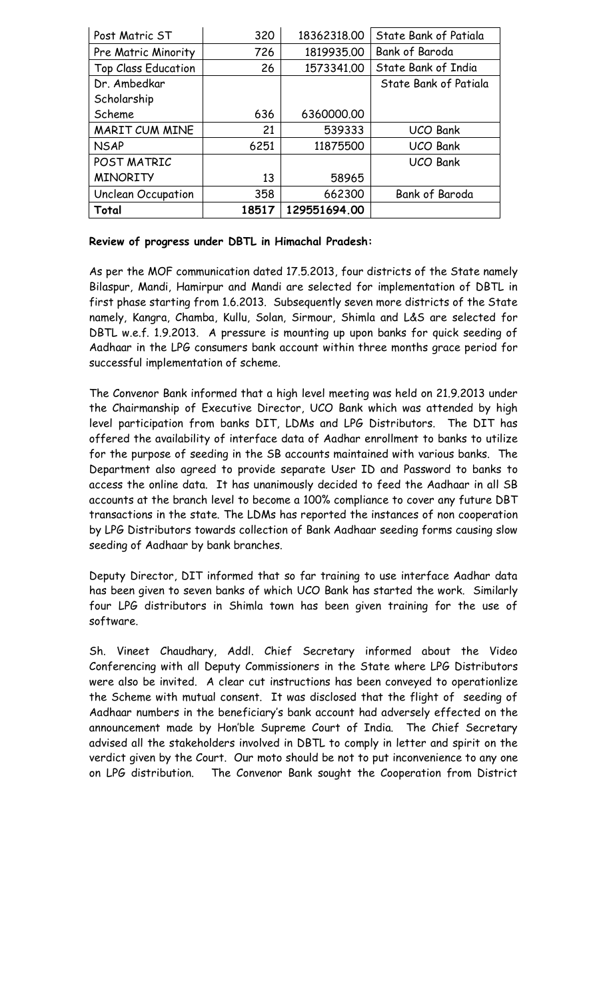| Post Matric ST             | 320   | 18362318.00  | State Bank of Patiala |
|----------------------------|-------|--------------|-----------------------|
| Pre Matric Minority        | 726   | 1819935.00   | Bank of Baroda        |
| <b>Top Class Education</b> | 26    | 1573341.00   | State Bank of India   |
| Dr. Ambedkar               |       |              | State Bank of Patiala |
| Scholarship                |       |              |                       |
| Scheme                     | 636   | 6360000.00   |                       |
| MARIT CUM MINE             | 21    | 539333       | <b>UCO Bank</b>       |
| <b>NSAP</b>                | 6251  | 11875500     | <b>UCO Bank</b>       |
| POST MATRIC                |       |              | <b>UCO Bank</b>       |
| <b>MINORITY</b>            | 13    | 58965        |                       |
| <b>Unclean Occupation</b>  | 358   | 662300       | Bank of Baroda        |
| Total                      | 18517 | 129551694.00 |                       |

#### **Review of progress under DBTL in Himachal Pradesh:**

As per the MOF communication dated 17.5.2013, four districts of the State namely Bilaspur, Mandi, Hamirpur and Mandi are selected for implementation of DBTL in first phase starting from 1.6.2013. Subsequently seven more districts of the State namely, Kangra, Chamba, Kullu, Solan, Sirmour, Shimla and L&S are selected for DBTL w.e.f. 1.9.2013. A pressure is mounting up upon banks for quick seeding of Aadhaar in the LPG consumers bank account within three months grace period for successful implementation of scheme.

The Convenor Bank informed that a high level meeting was held on 21.9.2013 under the Chairmanship of Executive Director, UCO Bank which was attended by high level participation from banks DIT, LDMs and LPG Distributors. The DIT has offered the availability of interface data of Aadhar enrollment to banks to utilize for the purpose of seeding in the SB accounts maintained with various banks. The Department also agreed to provide separate User ID and Password to banks to access the online data. It has unanimously decided to feed the Aadhaar in all SB accounts at the branch level to become a 100% compliance to cover any future DBT transactions in the state. The LDMs has reported the instances of non cooperation by LPG Distributors towards collection of Bank Aadhaar seeding forms causing slow seeding of Aadhaar by bank branches.

Deputy Director, DIT informed that so far training to use interface Aadhar data has been given to seven banks of which UCO Bank has started the work. Similarly four LPG distributors in Shimla town has been given training for the use of software.

Sh. Vineet Chaudhary, Addl. Chief Secretary informed about the Video Conferencing with all Deputy Commissioners in the State where LPG Distributors were also be invited. A clear cut instructions has been conveyed to operationlize the Scheme with mutual consent. It was disclosed that the flight of seeding of Aadhaar numbers in the beneficiary's bank account had adversely effected on the announcement made by Hon'ble Supreme Court of India. The Chief Secretary advised all the stakeholders involved in DBTL to comply in letter and spirit on the verdict given by the Court. Our moto should be not to put inconvenience to any one on LPG distribution. The Convenor Bank sought the Cooperation from District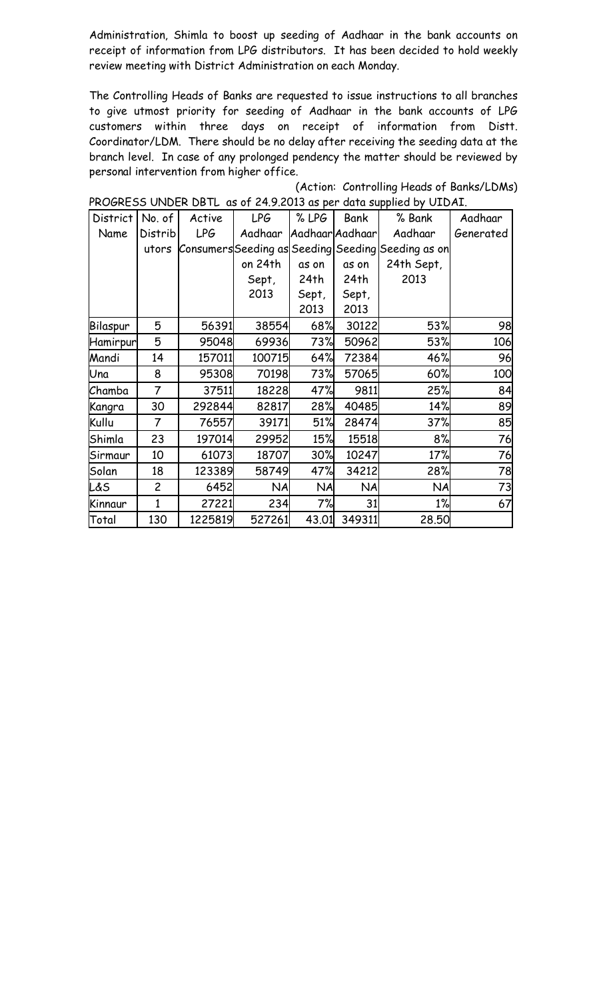Administration, Shimla to boost up seeding of Aadhaar in the bank accounts on receipt of information from LPG distributors. It has been decided to hold weekly review meeting with District Administration on each Monday.

The Controlling Heads of Banks are requested to issue instructions to all branches to give utmost priority for seeding of Aadhaar in the bank accounts of LPG customers within three days on receipt of information from Distt. Coordinator/LDM. There should be no delay after receiving the seeding data at the branch level. In case of any prolonged pendency the matter should be reviewed by personal intervention from higher office.

| District | No. of         | Active     | <b>LPG</b> | % LPG     | Bank            | % Bank                                             | Aadhaar   |
|----------|----------------|------------|------------|-----------|-----------------|----------------------------------------------------|-----------|
| Name     | Distrib        | <b>LPG</b> | Aadhaar    |           | Aadhaar Aadhaar | Aadhaar                                            | Generated |
|          | utors          |            |            |           |                 | Consumers Seeding as Seeding Seeding Seeding as on |           |
|          |                |            | on 24th    | as on     | as on           | 24th Sept,                                         |           |
|          |                |            | Sept,      | 24th      | 24th            | 2013                                               |           |
|          |                |            | 2013       | Sept,     | Sept,           |                                                    |           |
|          |                |            |            | 2013      | 2013            |                                                    |           |
| Bilaspur | 5              | 56391      | 38554      | 68%       | 30122           | 53%                                                | 98        |
| Hamirpur | 5              | 95048      | 69936      | 73%       | 50962           | 53%                                                | 106       |
| Mandi    | 14             | 157011     | 100715     | 64%       | 72384           | 46%                                                | 96        |
| Una      | 8              | 95308      | 70198      | 73%       | 57065           | 60%                                                | 100       |
| Chamba   | 7              | 37511      | 18228      | 47%       | 9811            | 25%                                                | 84        |
| Kangra   | 30             | 292844     | 82817      | 28%       | 40485           | 14%                                                | 89        |
| Kullu    | 7              | 76557      | 39171      | 51%       | 28474           | 37%                                                | 85        |
| Shimla   | 23             | 197014     | 29952      | 15%       | 15518           | 8%                                                 | 76        |
| Sirmaur  | 10             | 61073      | 18707      | 30%       | 10247           | 17%                                                | 76        |
| Solan    | 18             | 123389     | 58749      | 47%       | 34212           | 28%                                                | 78        |
| L&S      | $\overline{c}$ | 6452       | <b>NA</b>  | <b>NA</b> | <b>NA</b>       | <b>NA</b>                                          | 73        |
| Kinnaur  | 1              | 27221      | 234        | 7%        | 31              | 1%                                                 | 67        |
| Total    | 130            | 1225819    | 527261     | 43.01     | 349311          | 28.50                                              |           |

(Action: Controlling Heads of Banks/LDMs) PROGRESS UNDER DBTL as of 24.9.2013 as per data supplied by UIDAI.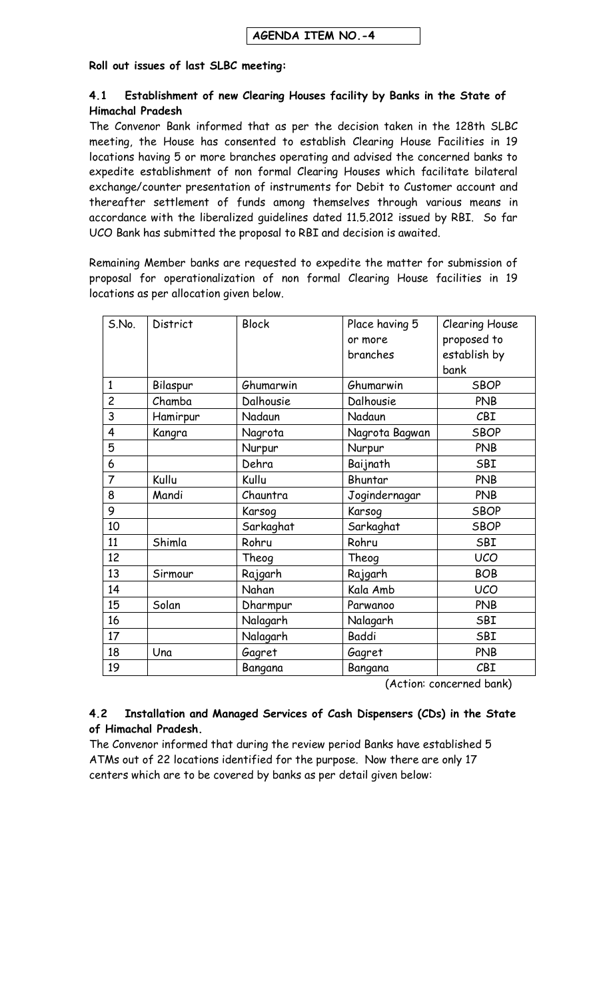#### **Roll out issues of last SLBC meeting:**

#### **4.1 Establishment of new Clearing Houses facility by Banks in the State of Himachal Pradesh**

The Convenor Bank informed that as per the decision taken in the 128th SLBC meeting, the House has consented to establish Clearing House Facilities in 19 locations having 5 or more branches operating and advised the concerned banks to expedite establishment of non formal Clearing Houses which facilitate bilateral exchange/counter presentation of instruments for Debit to Customer account and thereafter settlement of funds among themselves through various means in accordance with the liberalized guidelines dated 11.5.2012 issued by RBI. So far UCO Bank has submitted the proposal to RBI and decision is awaited.

Remaining Member banks are requested to expedite the matter for submission of proposal for operationalization of non formal Clearing House facilities in 19 locations as per allocation given below.

| S.No.          | District | <b>Block</b> | Place having 5 | <b>Clearing House</b> |
|----------------|----------|--------------|----------------|-----------------------|
|                |          |              | or more        | proposed to           |
|                |          |              | branches       | establish by          |
|                |          |              |                | bank                  |
| $\mathbf{1}$   | Bilaspur | Ghumarwin    | Ghumarwin      | <b>SBOP</b>           |
| $\overline{c}$ | Chamba   | Dalhousie    | Dalhousie      | <b>PNB</b>            |
| 3              | Hamirpur | Nadaun       | Nadaun         | CBI                   |
| $\overline{4}$ | Kangra   | Nagrota      | Nagrota Bagwan | <b>SBOP</b>           |
| 5              |          | Nurpur       | Nurpur         | <b>PNB</b>            |
| 6              |          | Dehra        | Baijnath       | SBI                   |
| $\overline{7}$ | Kullu    | Kullu        | Bhuntar        | <b>PNB</b>            |
| 8              | Mandi    | Chauntra     | Jogindernagar  | <b>PNB</b>            |
| 9              |          | Karsog       | Karsog         | <b>SBOP</b>           |
| 10             |          | Sarkaghat    | Sarkaghat      | <b>SBOP</b>           |
| 11             | Shimla   | Rohru        | Rohru          | SBI                   |
| 12             |          | Theog        | Theog          | <b>UCO</b>            |
| 13             | Sirmour  | Rajgarh      | Rajgarh        | <b>BOB</b>            |
| 14             |          | Nahan        | Kala Amb       | <b>UCO</b>            |
| 15             | Solan    | Dharmpur     | Parwanoo       | <b>PNB</b>            |
| 16             |          | Nalagarh     | Nalagarh       | SBI                   |
| 17             |          | Nalagarh     | <b>Baddi</b>   | SBI                   |
| 18             | Una      | Gagret       | Gagret         | PNB                   |
| 19             |          | Bangana      | Bangana        | CBI                   |

(Action: concerned bank)

#### **4.2 Installation and Managed Services of Cash Dispensers (CDs) in the State of Himachal Pradesh.**

The Convenor informed that during the review period Banks have established 5 ATMs out of 22 locations identified for the purpose. Now there are only 17 centers which are to be covered by banks as per detail given below: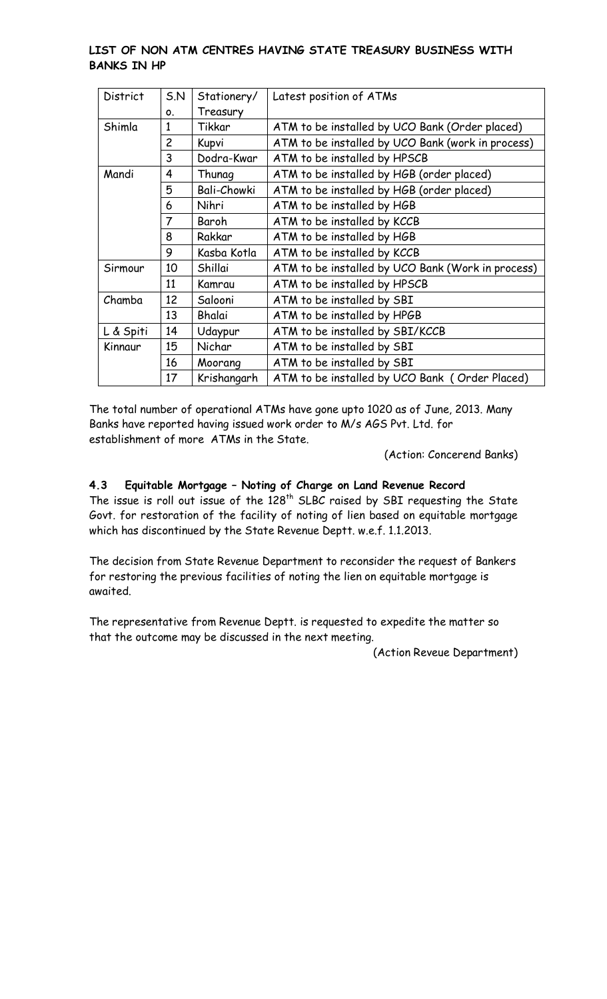#### **LIST OF NON ATM CENTRES HAVING STATE TREASURY BUSINESS WITH BANKS IN HP**

| <b>District</b> | 5. N           | Stationery/        | Latest position of ATMs                           |
|-----------------|----------------|--------------------|---------------------------------------------------|
|                 | 0.             | Treasury           |                                                   |
| Shimla          | 1              | Tikkar             | ATM to be installed by UCO Bank (Order placed)    |
|                 | $\overline{c}$ | Kupvi              | ATM to be installed by UCO Bank (work in process) |
|                 | 3              | Dodra-Kwar         | ATM to be installed by HPSCB                      |
| Mandi           | 4              | Thunag             | ATM to be installed by HGB (order placed)         |
|                 | 5              | <b>Bali-Chowki</b> | ATM to be installed by HGB (order placed)         |
|                 | 6              | Nihri              | ATM to be installed by HGB                        |
|                 | 7              | Baroh              | ATM to be installed by KCCB                       |
|                 | 8              | Rakkar             | ATM to be installed by HGB                        |
|                 | 9              | Kasba Kotla        | ATM to be installed by KCCB                       |
| Sirmour         | 10             | Shillai            | ATM to be installed by UCO Bank (Work in process) |
|                 | 11             | Kamrau             | ATM to be installed by HPSCB                      |
| Chamba          | 12             | Salooni            | ATM to be installed by SBI                        |
|                 | 13             | <b>Bhalai</b>      | ATM to be installed by HPGB                       |
| L & Spiti       | 14             | Udaypur            | ATM to be installed by SBI/KCCB                   |
| Kinnaur         | 15             | Nichar             | ATM to be installed by SBI                        |
|                 | 16             | Moorang            | ATM to be installed by SBI                        |
|                 | 17             | Krishangarh        | ATM to be installed by UCO Bank (Order Placed)    |

The total number of operational ATMs have gone upto 1020 as of June, 2013. Many Banks have reported having issued work order to M/s AGS Pvt. Ltd. for establishment of more ATMs in the State.

(Action: Concerend Banks)

## **4.3 Equitable Mortgage – Noting of Charge on Land Revenue Record**

The issue is roll out issue of the  $128<sup>th</sup>$  SLBC raised by SBI requesting the State Govt. for restoration of the facility of noting of lien based on equitable mortgage which has discontinued by the State Revenue Deptt. w.e.f. 1.1.2013.

The decision from State Revenue Department to reconsider the request of Bankers for restoring the previous facilities of noting the lien on equitable mortgage is awaited.

The representative from Revenue Deptt. is requested to expedite the matter so that the outcome may be discussed in the next meeting.

(Action Reveue Department)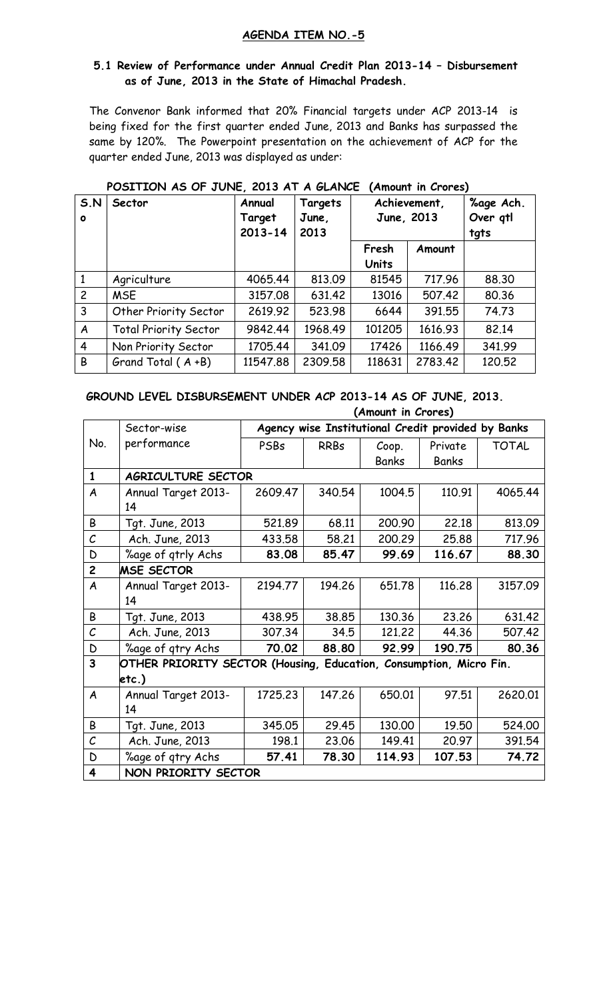#### **AGENDA ITEM NO.-5**

#### **5.1 Review of Performance under Annual Credit Plan 2013-14 – Disbursement as of June, 2013 in the State of Himachal Pradesh.**

The Convenor Bank informed that 20% Financial targets under ACP 2013-14 is being fixed for the first quarter ended June, 2013 and Banks has surpassed the same by 120%. The Powerpoint presentation on the achievement of ACP for the quarter ended June, 2013 was displayed as under:

| S.N<br>$\bullet$ | Sector                       | Annual<br>Target<br>$2013 - 14$ | Targets<br>June,<br>2013 | Achievement,<br>June, 2013 | %age Ach.<br>Over qtl<br>tgts |        |
|------------------|------------------------------|---------------------------------|--------------------------|----------------------------|-------------------------------|--------|
|                  |                              |                                 |                          | Fresh<br><b>Units</b>      | Amount                        |        |
| $\mathbf{1}$     | Agriculture                  | 4065.44                         | 813.09                   | 81545                      | 717.96                        | 88.30  |
| $\overline{c}$   | <b>MSE</b>                   | 3157.08                         | 631.42                   | 13016                      | 507.42                        | 80.36  |
| 3                | Other Priority Sector        | 2619.92                         | 523.98                   | 6644                       | 391.55                        | 74.73  |
| A                | <b>Total Priority Sector</b> | 9842.44                         | 1968.49                  | 101205                     | 1616.93                       | 82.14  |
| $\overline{4}$   | Non Priority Sector          | 1705.44                         | 341.09                   | 17426                      | 1166.49                       | 341.99 |
| B                | Grand Total $(A + B)$        | 11547.88                        | 2309.58                  | 118631                     | 2783.42                       | 120.52 |

## **POSITION AS OF JUNE, 2013 AT A GLANCE (Amount in Crores)**

#### **GROUND LEVEL DISBURSEMENT UNDER ACP 2013-14 AS OF JUNE, 2013. (Amount in Crores)**

|                         | Sector-wise                                                        | Agency wise Institutional Credit provided by Banks |             |        |              |              |
|-------------------------|--------------------------------------------------------------------|----------------------------------------------------|-------------|--------|--------------|--------------|
| No.                     | performance                                                        | PSBs                                               | <b>RRBs</b> | Coop.  | Private      | <b>TOTAL</b> |
|                         |                                                                    |                                                    |             | Banks  | <b>Banks</b> |              |
| $\mathbf{1}$            | AGRICULTURE SECTOR                                                 |                                                    |             |        |              |              |
| $\boldsymbol{A}$        | Annual Target 2013-                                                | 2609.47                                            | 340.54      | 1004.5 | 110.91       | 4065.44      |
|                         | 14                                                                 |                                                    |             |        |              |              |
| B                       | Tgt. June, 2013                                                    | 521.89                                             | 68.11       | 200.90 | 22.18        | 813.09       |
| $\mathcal{C}$           | Ach. June, 2013                                                    | 433.58                                             | 58.21       | 200.29 | 25.88        | 717.96       |
| D                       | %age of qtrly Achs                                                 | 83.08                                              | 85.47       | 99.69  | 116.67       | 88.30        |
| $\overline{c}$          | <b>MSE SECTOR</b>                                                  |                                                    |             |        |              |              |
| A                       | Annual Target 2013-                                                | 2194.77                                            | 194.26      | 651,78 | 116.28       | 3157.09      |
|                         | 14                                                                 |                                                    |             |        |              |              |
| B                       | Tgt. June, 2013                                                    | 438.95                                             | 38.85       | 130.36 | 23.26        | 631.42       |
| $\mathcal{C}$           | Ach. June, 2013                                                    | 307.34                                             | 34.5        | 121,22 | 44.36        | 507.42       |
| D                       | %age of gtry Achs                                                  | 70.02                                              | 88.80       | 92.99  | 190.75       | 80.36        |
| 3                       | OTHER PRIORITY SECTOR (Housing, Education, Consumption, Micro Fin. |                                                    |             |        |              |              |
|                         | etc.)                                                              |                                                    |             |        |              |              |
| $\boldsymbol{A}$        | Annual Target 2013-                                                | 1725.23                                            | 147.26      | 650.01 | 97.51        | 2620.01      |
|                         | 14                                                                 |                                                    |             |        |              |              |
| B                       | Tgt. June, 2013                                                    | 345.05                                             | 29.45       | 130.00 | 19.50        | 524.00       |
| $\mathcal{C}$           | Ach. June, 2013                                                    | 198.1                                              | 23.06       | 149.41 | 20.97        | 391.54       |
| D                       | %age of gtry Achs                                                  | 57.41                                              | 78.30       | 114.93 | 107.53       | 74.72        |
| $\overline{\mathbf{4}}$ | NON PRIORITY SECTOR                                                |                                                    |             |        |              |              |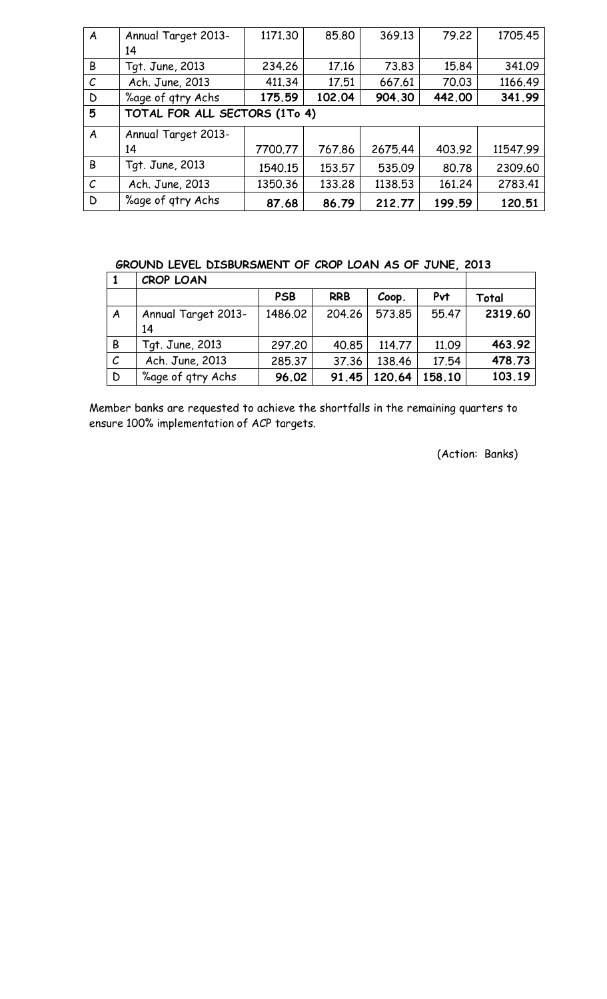| $\boldsymbol{A}$ | Annual Target 2013-           | 1171.30 | 85.80  | 369.13  | 79.22  | 1705.45  |  |  |
|------------------|-------------------------------|---------|--------|---------|--------|----------|--|--|
|                  | 14                            |         |        |         |        |          |  |  |
| B                | Tgt. June, 2013               | 234.26  | 17.16  | 73.83   | 15.84  | 341.09   |  |  |
| $\mathcal C$     | Ach. June, 2013               | 411.34  | 17.51  | 667.61  | 70.03  | 1166.49  |  |  |
| D                | %age of gtry Achs             | 175.59  | 102.04 | 904.30  | 442.00 | 341.99   |  |  |
| 5                | TOTAL FOR ALL SECTORS (1To 4) |         |        |         |        |          |  |  |
| A                | Annual Target 2013-           |         |        |         |        |          |  |  |
|                  | 14                            | 7700.77 | 767.86 | 2675.44 | 403.92 | 11547.99 |  |  |
| B                | Tgt. June, 2013               | 1540.15 | 153.57 | 535.09  | 80.78  | 2309.60  |  |  |
|                  |                               |         |        |         |        |          |  |  |
| $\mathcal{C}$    | Ach. June, 2013               | 1350.36 | 133.28 | 1138.53 | 161.24 | 2783.41  |  |  |

# **GROUND LEVEL DISBURSMENT OF CROP LOAN AS OF JUNE, 2013**

|                  | <b>CROP LOAN</b>          |            |            |        |        |         |
|------------------|---------------------------|------------|------------|--------|--------|---------|
|                  |                           | <b>PSB</b> | <b>RRB</b> | Coop.  | Pvt    | Total   |
| $\boldsymbol{A}$ | Annual Target 2013-<br>14 | 1486.02    | 204.26     | 573.85 | 55.47  | 2319.60 |
| B                | Tgt. June, 2013           | 297.20     | 40.85      | 114.77 | 11.09  | 463.92  |
| $\mathcal{C}$    | Ach. June, 2013           | 285.37     | 37.36      | 138.46 | 17.54  | 478.73  |
| D                | %age of gtry Achs         | 96.02      | 91.45      | 120.64 | 158.10 | 103.19  |

Member banks are requested to achieve the shortfalls in the remaining quarters to ensure 100% implementation of ACP targets.

(Action: Banks)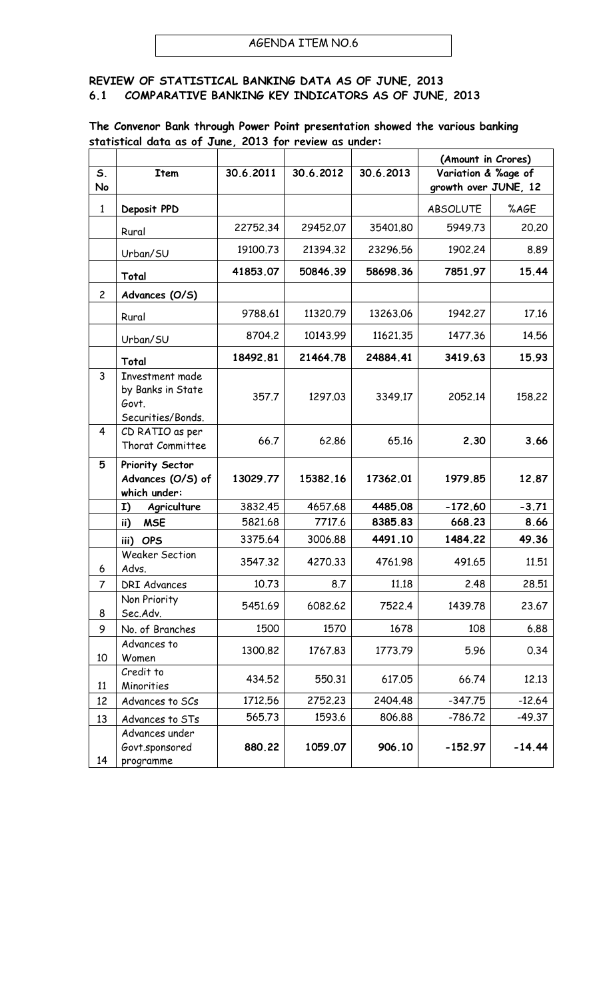#### **REVIEW OF STATISTICAL BANKING DATA AS OF JUNE, 2013 6.1 COMPARATIVE BANKING KEY INDICATORS AS OF JUNE, 2013**

#### **The Convenor Bank through Power Point presentation showed the various banking statistical data as of June, 2013 for review as under:**

|                |                                                                    |           |           |           | (Amount in Crores)   |          |
|----------------|--------------------------------------------------------------------|-----------|-----------|-----------|----------------------|----------|
| S.             | <b>Item</b>                                                        | 30.6.2011 | 30.6.2012 | 30.6.2013 | Variation & %age of  |          |
| No             |                                                                    |           |           |           | growth over JUNE, 12 |          |
| $\mathbf{1}$   | Deposit PPD                                                        |           |           |           | <b>ABSOLUTE</b>      | %AGE     |
|                | Rural                                                              | 22752.34  | 29452.07  | 35401.80  | 5949.73              | 20,20    |
|                | Urban/SU                                                           | 19100.73  | 21394.32  | 23296.56  | 1902.24              | 8.89     |
|                | Total                                                              | 41853.07  | 50846.39  | 58698.36  | 7851.97              | 15.44    |
| $\overline{c}$ | Advances (O/S)                                                     |           |           |           |                      |          |
|                | Rural                                                              | 9788.61   | 11320.79  | 13263.06  | 1942.27              | 17.16    |
|                | Urban/SU                                                           | 8704.2    | 10143.99  | 11621.35  | 1477.36              | 14.56    |
|                | Total                                                              | 18492.81  | 21464.78  | 24884.41  | 3419.63              | 15.93    |
| 3              | Investment made<br>by Banks in State<br>Govt.<br>Securities/Bonds. | 357.7     | 1297.03   | 3349.17   | 2052.14              | 158,22   |
| 4              | CD RATIO as per<br>Thorat Committee                                | 66.7      | 62.86     | 65.16     | 2.30                 | 3.66     |
| 5              | Priority Sector<br>Advances (O/S) of<br>which under:               | 13029.77  | 15382.16  | 17362.01  | 1979.85              | 12.87    |
|                | I)<br>Agriculture                                                  | 3832.45   | 4657.68   | 4485.08   | $-172.60$            | $-3.71$  |
|                | <b>MSE</b><br>ii)                                                  | 5821.68   | 7717.6    | 8385.83   | 668.23               | 8.66     |
|                | <b>OPS</b><br>iii)                                                 | 3375.64   | 3006.88   | 4491.10   | 1484.22              | 49.36    |
| 6              | <b>Weaker Section</b><br>Advs.                                     | 3547.32   | 4270.33   | 4761.98   | 491.65               | 11.51    |
| 7              | <b>DRI Advances</b>                                                | 10.73     | 8.7       | 11.18     | 2.48                 | 28,51    |
| 8              | Non Priority<br>Sec.Adv.                                           | 5451.69   | 6082.62   | 7522.4    | 1439.78              | 23.67    |
| 9              | No. of Branches                                                    | 1500      | 1570      | 1678      | 108                  | 6.88     |
| 10             | Advances to<br>Women                                               | 1300.82   | 1767.83   | 1773.79   | 5.96                 | 0.34     |
| 11             | Credit to<br>Minorities                                            | 434.52    | 550.31    | 617.05    | 66.74                | 12.13    |
| 12             | Advances to SCs                                                    | 1712.56   | 2752.23   | 2404.48   | $-347.75$            | $-12.64$ |
| 13             | Advances to STs                                                    | 565.73    | 1593.6    | 806.88    | $-786.72$            | $-49.37$ |
| 14             | Advances under<br>Govt.sponsored<br>programme                      | 880.22    | 1059.07   | 906.10    | $-152.97$            | $-14.44$ |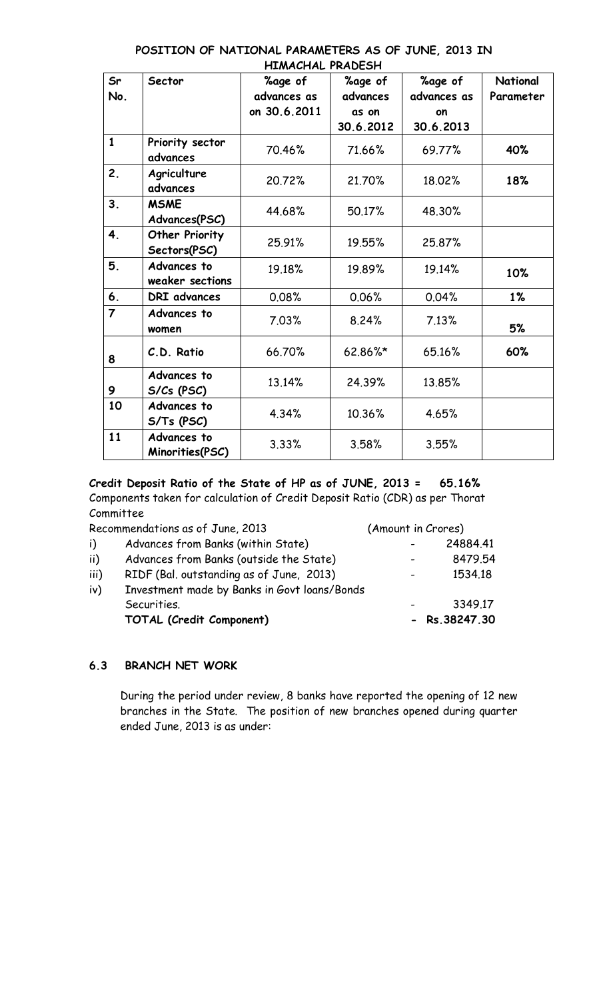| Sr             | Sector                                | <b>%age of</b> | %age of   | %age of     | National  |
|----------------|---------------------------------------|----------------|-----------|-------------|-----------|
| No.            |                                       | advances as    | advances  | advances as | Parameter |
|                |                                       | on 30.6.2011   | as on     | on          |           |
|                |                                       |                | 30.6.2012 | 30.6.2013   |           |
| $\mathbf{1}$   | Priority sector<br>advances           | 70.46%         | 71.66%    | 69.77%      | 40%       |
| 2.             | Agriculture<br>advances               | 20.72%         | 21.70%    | 18.02%      | 18%       |
| 3 <sub>1</sub> | <b>MSME</b><br>Advances(PSC)          | 44.68%         | 50.17%    | 48.30%      |           |
| 4.             | <b>Other Priority</b><br>Sectors(PSC) | 25.91%         | 19.55%    | 25.87%      |           |
| 5.             | Advances to<br>weaker sections        | 19.18%         | 19.89%    | 19.14%      | 10%       |
| 6.             | DRI advances                          | 0.08%          | 0.06%     | 0.04%       | 1%        |
| $\overline{7}$ | Advances to<br>women                  | 7.03%          | 8.24%     | 7.13%       | 5%        |
| 8              | C.D. Ratio                            | 66.70%         | 62.86%*   | 65.16%      | 60%       |
| 9              | Advances to<br>S/Cs (PSC)             | 13.14%         | 24.39%    | 13.85%      |           |
| 10             | Advances to<br>S/Ts (PSC)             | 4.34%          | 10.36%    | 4.65%       |           |
| 11             | Advances to<br>Minorities(PSC)        | 3.33%          | 3.58%     | 3.55%       |           |

#### **POSITION OF NATIONAL PARAMETERS AS OF JUNE, 2013 IN HIMACHAL PRADESH**

**Credit Deposit Ratio of the State of HP as of JUNE, 2013 = 65.16%** Components taken for calculation of Credit Deposit Ratio (CDR) as per Thorat Committee

|      | Recommendations as of June, 2013             | (Amount in Crores) |                  |
|------|----------------------------------------------|--------------------|------------------|
| i)   | Advances from Banks (within State)           |                    | 24884.41         |
| ii)  | Advances from Banks (outside the State)      |                    | 8479.54          |
| iii) | RIDF (Bal. outstanding as of June, 2013)     | $\sim$ 100 $\sim$  | 1534.18          |
| iv)  | Investment made by Banks in Govt loans/Bonds |                    |                  |
|      | Securities.                                  |                    | 3349.17          |
|      | TOTAL (Credit Component)                     |                    | $-$ Rs. 38247.30 |

## **6.3 BRANCH NET WORK**

During the period under review, 8 banks have reported the opening of 12 new branches in the State. The position of new branches opened during quarter ended June, 2013 is as under: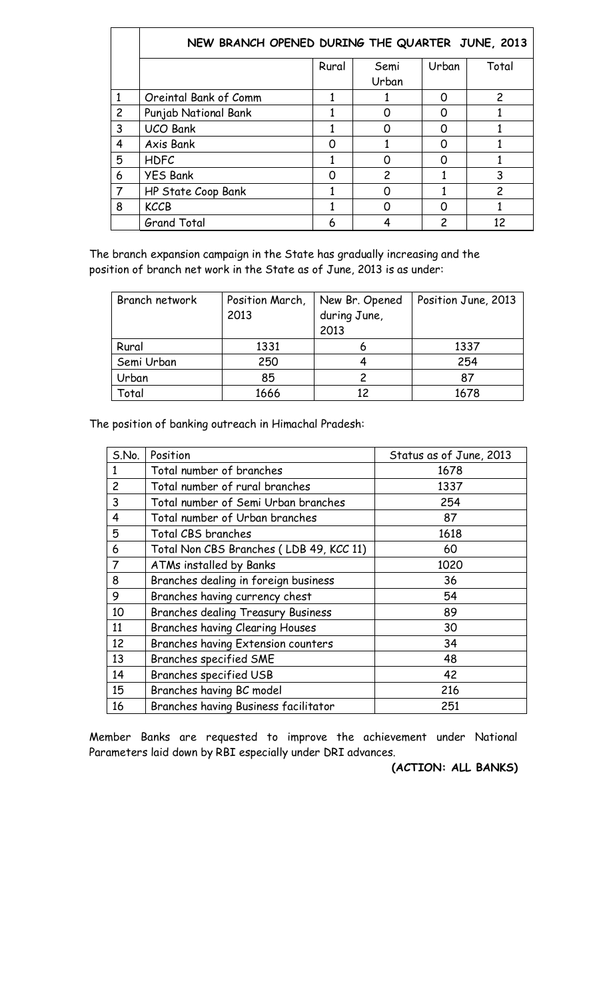|                | NEW BRANCH OPENED DURING THE QUARTER JUNE, 2013 |       |               |       |                |  |
|----------------|-------------------------------------------------|-------|---------------|-------|----------------|--|
|                |                                                 | Rural | Semi          | Urban | Total          |  |
|                |                                                 |       | Urban         |       |                |  |
| 1              | Oreintal Bank of Comm                           |       |               | O     | 2              |  |
| $\overline{c}$ | Punjab National Bank                            |       |               |       |                |  |
| 3              | <b>UCO Bank</b>                                 |       |               | O     |                |  |
| 4              | Axis Bank                                       |       |               | O     |                |  |
| 5              | <b>HDFC</b>                                     |       | O             | O     |                |  |
| 6              | <b>YES Bank</b>                                 | ∩     | $\mathcal{P}$ |       | 3              |  |
| $\overline{7}$ | HP State Coop Bank                              |       |               |       | $\overline{c}$ |  |
| 8              | <b>KCCB</b>                                     |       | O             | O     |                |  |
|                | <b>Grand Total</b>                              | 6     |               |       | 12             |  |

The branch expansion campaign in the State has gradually increasing and the position of branch net work in the State as of June, 2013 is as under:

| Branch network | Position March,<br>2013 | New Br. Opened<br>during June,<br>2013 | Position June, 2013 |
|----------------|-------------------------|----------------------------------------|---------------------|
| Rural          | 1331                    |                                        | 1337                |
| Semi Urban     | 250                     |                                        | 254                 |
| Urban          | 85                      |                                        | 87                  |
| Total          | 1666                    | 12                                     | 1678                |

The position of banking outreach in Himachal Pradesh:

| S.No.          | Position                                  | Status as of June, 2013 |
|----------------|-------------------------------------------|-------------------------|
| 1              | Total number of branches                  | 1678                    |
| $\overline{c}$ | Total number of rural branches            | 1337                    |
| 3              | Total number of Semi Urban branches       | 254                     |
| $\overline{4}$ | Total number of Urban branches            | 87                      |
| 5              | Total CBS branches                        | 1618                    |
| 6              | Total Non CBS Branches (LDB 49, KCC 11)   | 60                      |
| 7              | ATMs installed by Banks                   | 1020                    |
| 8              | Branches dealing in foreign business      | 36                      |
| 9              | Branches having currency chest            | 54                      |
| 10             | <b>Branches dealing Treasury Business</b> | 89                      |
| 11             | <b>Branches having Clearing Houses</b>    | 30                      |
| 12             | Branches having Extension counters        | 34                      |
| 13             | Branches specified SME                    | 48                      |
| 14             | Branches specified USB                    | 42                      |
| 15             | Branches having BC model                  | 216                     |
| 16             | Branches having Business facilitator      | 251                     |

Member Banks are requested to improve the achievement under National Parameters laid down by RBI especially under DRI advances.

**(ACTION: ALL BANKS)**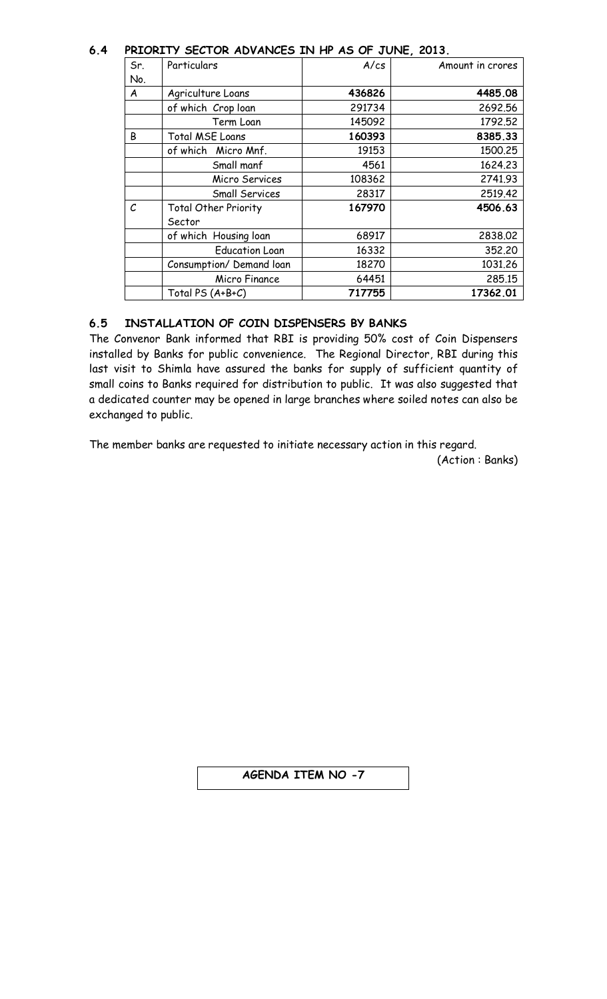#### **6.4 PRIORITY SECTOR ADVANCES IN HP AS OF JUNE, 2013.**

| Sr.               | FRIURITY SECTUR AUVANCES IN HF AS UF JUNE, 2013.<br>Particulars | A/cs   | Amount in crores |
|-------------------|-----------------------------------------------------------------|--------|------------------|
|                   |                                                                 |        |                  |
| No.               |                                                                 |        |                  |
| A                 | Agriculture Loans                                               | 436826 | 4485.08          |
|                   | of which Crop loan                                              | 291734 | 2692.56          |
|                   | Term Loan                                                       | 145092 | 1792.52          |
| B                 | <b>Total MSE Loans</b>                                          | 160393 | 8385.33          |
|                   | of which Micro Mnf.                                             | 19153  | 1500.25          |
|                   | Small manf                                                      | 4561   | 1624.23          |
|                   | Micro Services                                                  | 108362 | 2741.93          |
|                   | Small Services                                                  | 28317  | 2519.42          |
| $\mathcal{C}_{0}$ | <b>Total Other Priority</b>                                     | 167970 | 4506.63          |
|                   | Sector                                                          |        |                  |
|                   | of which Housing loan                                           | 68917  | 2838.02          |
|                   | <b>Education Loan</b>                                           | 16332  | 352,20           |
|                   | Consumption/ Demand loan                                        | 18270  | 1031.26          |
|                   | Micro Finance                                                   | 64451  | 285.15           |
|                   | Total PS (A+B+C)                                                | 717755 | 17362.01         |

## **6.5 INSTALLATION OF COIN DISPENSERS BY BANKS**

The Convenor Bank informed that RBI is providing 50% cost of Coin Dispensers installed by Banks for public convenience. The Regional Director, RBI during this last visit to Shimla have assured the banks for supply of sufficient quantity of small coins to Banks required for distribution to public. It was also suggested that a dedicated counter may be opened in large branches where soiled notes can also be exchanged to public.

The member banks are requested to initiate necessary action in this regard.

(Action : Banks)

## **AGENDA ITEM NO -7**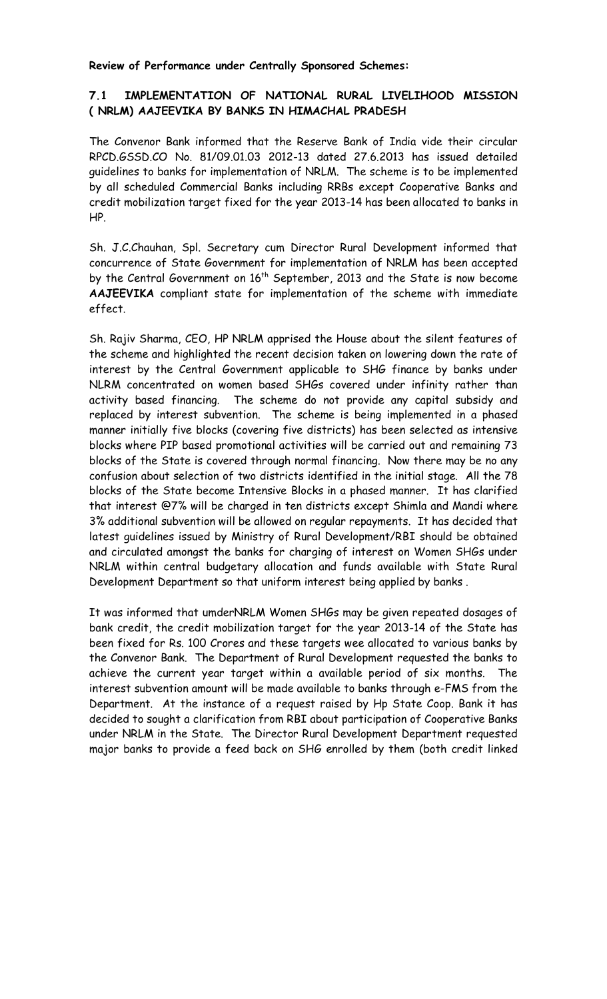**Review of Performance under Centrally Sponsored Schemes:**

#### **7.1 IMPLEMENTATION OF NATIONAL RURAL LIVELIHOOD MISSION ( NRLM) AAJEEVIKA BY BANKS IN HIMACHAL PRADESH**

The Convenor Bank informed that the Reserve Bank of India vide their circular RPCD.GSSD.CO No. 81/09.01.03 2012-13 dated 27.6.2013 has issued detailed guidelines to banks for implementation of NRLM. The scheme is to be implemented by all scheduled Commercial Banks including RRBs except Cooperative Banks and credit mobilization target fixed for the year 2013-14 has been allocated to banks in HP.

Sh. J.C.Chauhan, Spl. Secretary cum Director Rural Development informed that concurrence of State Government for implementation of NRLM has been accepted by the Central Government on 16<sup>th</sup> September, 2013 and the State is now become **AAJEEVIKA** compliant state for implementation of the scheme with immediate effect.

Sh. Rajiv Sharma, CEO, HP NRLM apprised the House about the silent features of the scheme and highlighted the recent decision taken on lowering down the rate of interest by the Central Government applicable to SHG finance by banks under NLRM concentrated on women based SHGs covered under infinity rather than activity based financing. The scheme do not provide any capital subsidy and replaced by interest subvention. The scheme is being implemented in a phased manner initially five blocks (covering five districts) has been selected as intensive blocks where PIP based promotional activities will be carried out and remaining 73 blocks of the State is covered through normal financing. Now there may be no any confusion about selection of two districts identified in the initial stage. All the 78 blocks of the State become Intensive Blocks in a phased manner. It has clarified that interest @7% will be charged in ten districts except Shimla and Mandi where 3% additional subvention will be allowed on regular repayments. It has decided that latest guidelines issued by Ministry of Rural Development/RBI should be obtained and circulated amongst the banks for charging of interest on Women SHGs under NRLM within central budgetary allocation and funds available with State Rural Development Department so that uniform interest being applied by banks .

It was informed that umderNRLM Women SHGs may be given repeated dosages of bank credit, the credit mobilization target for the year 2013-14 of the State has been fixed for Rs. 100 Crores and these targets wee allocated to various banks by the Convenor Bank. The Department of Rural Development requested the banks to achieve the current year target within a available period of six months. The interest subvention amount will be made available to banks through e-FMS from the Department. At the instance of a request raised by Hp State Coop. Bank it has decided to sought a clarification from RBI about participation of Cooperative Banks under NRLM in the State. The Director Rural Development Department requested major banks to provide a feed back on SHG enrolled by them (both credit linked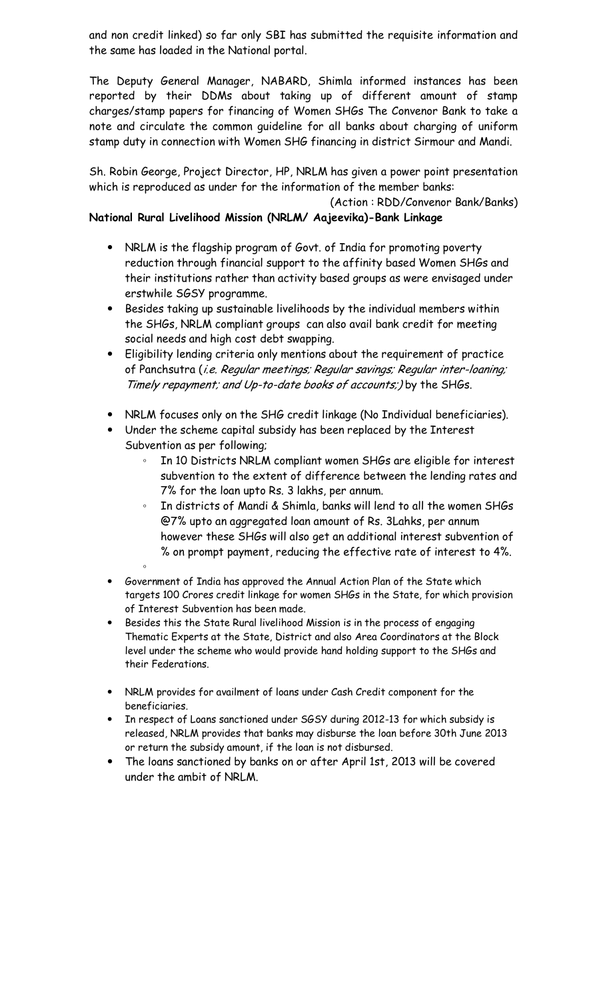and non credit linked) so far only SBI has submitted the requisite information and the same has loaded in the National portal.

The Deputy General Manager, NABARD, Shimla informed instances has been reported by their DDMs about taking up of different amount of stamp charges/stamp papers for financing of Women SHGs The Convenor Bank to take a note and circulate the common guideline for all banks about charging of uniform stamp duty in connection with Women SHG financing in district Sirmour and Mandi.

Sh. Robin George, Project Director, HP, NRLM has given a power point presentation which is reproduced as under for the information of the member banks:

(Action : RDD/Convenor Bank/Banks)

## **National Rural Livelihood Mission (NRLM/ Aajeevika)-Bank Linkage**

- NRLM is the flagship program of Govt. of India for promoting poverty reduction through financial support to the affinity based Women SHGs and their institutions rather than activity based groups as were envisaged under erstwhile SGSY programme.
- ó Besides taking up sustainable livelihoods by the individual members within the SHGs, NRLM compliant groups can also avail bank credit for meeting social needs and high cost debt swapping.
- ó Eligibility lending criteria only mentions about the requirement of practice of Panchsutra (i.e. Regular meetings; Regular savings; Regular inter-loaning; Timely repayment; and Up-to-date books of accounts;) by the SHGs.
- NRLM focuses only on the SHG credit linkage (No Individual beneficiaries).
- Under the scheme capital subsidy has been replaced by the Interest Subvention as per following;
	- In 10 Districts NRLM compliant women SHGs are eligible for interest subvention to the extent of difference between the lending rates and 7% for the loan upto Rs. 3 lakhs, per annum.
	- In districts of Mandi & Shimla, banks will lend to all the women SHGs @7% upto an aggregated loan amount of Rs. 3Lahks, per annum however these SHGs will also get an additional interest subvention of % on prompt payment, reducing the effective rate of interest to 4%.
- Government of India has approved the Annual Action Plan of the State which targets 100 Crores credit linkage for women SHGs in the State, for which provision of Interest Subvention has been made.

◦

- Besides this the State Rural livelihood Mission is in the process of engaging Thematic Experts at the State, District and also Area Coordinators at the Block level under the scheme who would provide hand holding support to the SHGs and their Federations.
- NRLM provides for availment of loans under Cash Credit component for the beneficiaries.
- In respect of Loans sanctioned under SGSY during 2012-13 for which subsidy is released, NRLM provides that banks may disburse the loan before 30th June 2013 or return the subsidy amount, if the loan is not disbursed.
- The loans sanctioned by banks on or after April 1st, 2013 will be covered under the ambit of NRLM.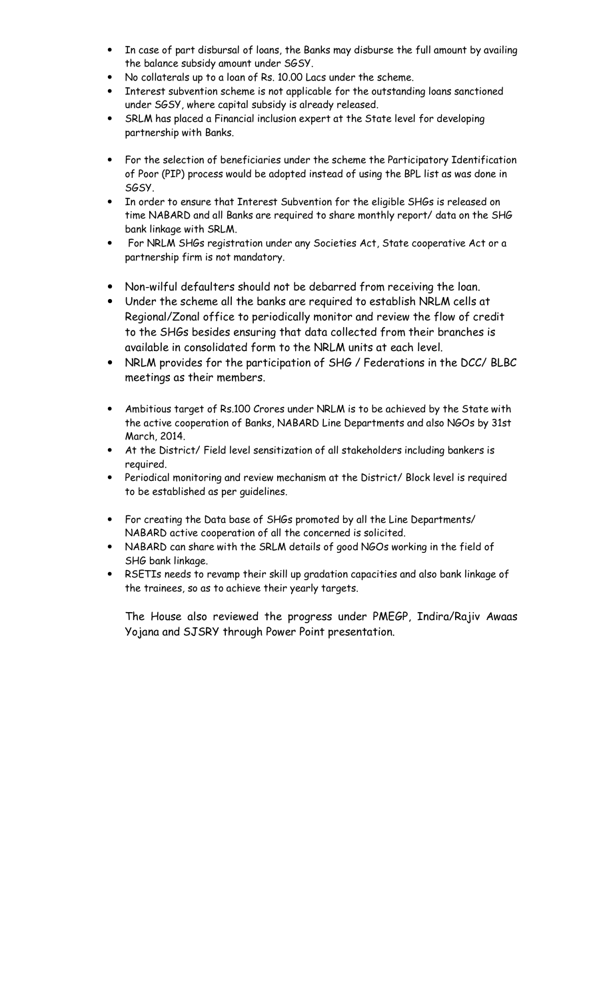- In case of part disbursal of loans, the Banks may disburse the full amount by availing the balance subsidy amount under SGSY.
- No collaterals up to a loan of Rs. 10.00 Lacs under the scheme.
- Interest subvention scheme is not applicable for the outstanding loans sanctioned under SGSY, where capital subsidy is already released.
- SRLM has placed a Financial inclusion expert at the State level for developing partnership with Banks.
- For the selection of beneficiaries under the scheme the Participatory Identification of Poor (PIP) process would be adopted instead of using the BPL list as was done in SGSY.
- In order to ensure that Interest Subvention for the eligible SHGs is released on time NABARD and all Banks are required to share monthly report/ data on the SHG bank linkage with SRLM.
- ó For NRLM SHGs registration under any Societies Act, State cooperative Act or a partnership firm is not mandatory.
- ó Non-wilful defaulters should not be debarred from receiving the loan.
- ó Under the scheme all the banks are required to establish NRLM cells at Regional/Zonal office to periodically monitor and review the flow of credit to the SHGs besides ensuring that data collected from their branches is available in consolidated form to the NRLM units at each level.
- NRLM provides for the participation of SHG / Federations in the DCC/ BLBC meetings as their members.
- Ambitious target of Rs.100 Crores under NRLM is to be achieved by the State with the active cooperation of Banks, NABARD Line Departments and also NGOs by 31st March, 2014.
- At the District/ Field level sensitization of all stakeholders including bankers is required.
- Periodical monitoring and review mechanism at the District/ Block level is required to be established as per guidelines.
- For creating the Data base of SHGs promoted by all the Line Departments/ NABARD active cooperation of all the concerned is solicited.
- NABARD can share with the SRLM details of good NGOs working in the field of SHG bank linkage.
- RSETIs needs to revamp their skill up gradation capacities and also bank linkage of the trainees, so as to achieve their yearly targets.

The House also reviewed the progress under PMEGP, Indira/Rajiv Awaas Yojana and SJSRY through Power Point presentation.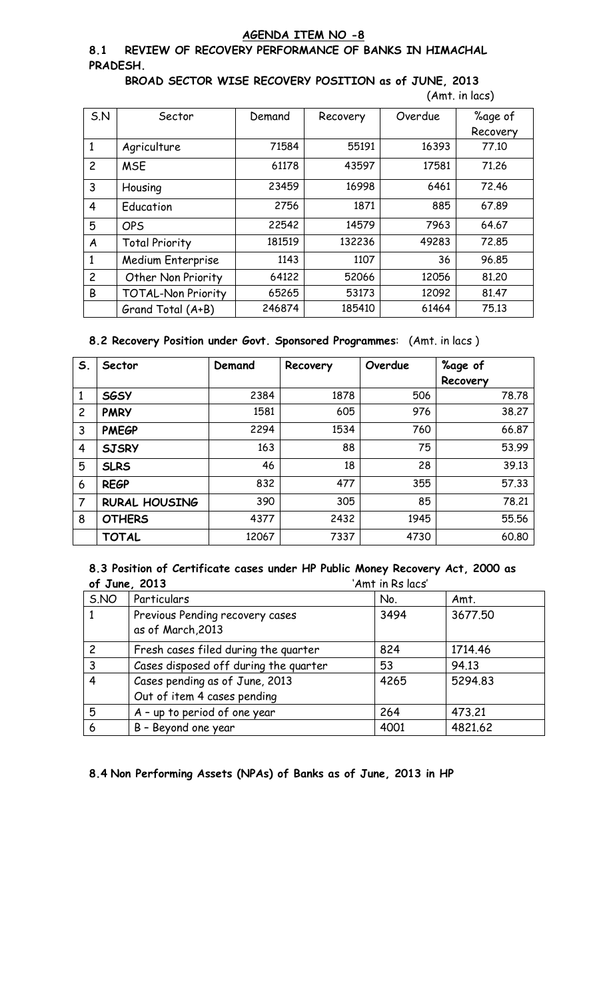#### **AGENDA ITEM NO -8**

#### **8.1 REVIEW OF RECOVERY PERFORMANCE OF BANKS IN HIMACHAL PRADESH.**

**BROAD SECTOR WISE RECOVERY POSITION as of JUNE, 2013** (Amt. in lacs)

| 5. N           | Sector                    | Demand | Recovery | Overdue | %age of<br>Recovery |
|----------------|---------------------------|--------|----------|---------|---------------------|
| 1              | Agriculture               | 71584  | 55191    | 16393   | 77.10               |
| $\overline{c}$ | <b>MSE</b>                | 61178  | 43597    | 17581   | 71.26               |
| 3              | Housing                   | 23459  | 16998    | 6461    | 72.46               |
| $\overline{4}$ | Education                 | 2756   | 1871     | 885     | 67.89               |
| 5              | <b>OPS</b>                | 22542  | 14579    | 7963    | 64.67               |
| A              | <b>Total Priority</b>     | 181519 | 132236   | 49283   | 72.85               |
| 1              | Medium Enterprise         | 1143   | 1107     | 36      | 96.85               |
| $\overline{c}$ | Other Non Priority        | 64122  | 52066    | 12056   | 81,20               |
| B              | <b>TOTAL-Non Priority</b> | 65265  | 53173    | 12092   | 81.47               |
|                | Grand Total (A+B)         | 246874 | 185410   | 61464   | 75.13               |

#### **8.2 Recovery Position under Govt. Sponsored Programmes**: (Amt. in lacs )

| S.             | Sector               | Demand | Recovery | Overdue | %age of  |
|----------------|----------------------|--------|----------|---------|----------|
|                |                      |        |          |         | Recovery |
| 1              | <b>SGSY</b>          | 2384   | 1878     | 506     | 78.78    |
| $\overline{c}$ | <b>PMRY</b>          | 1581   | 605      | 976     | 38,27    |
| 3              | <b>PMEGP</b>         | 2294   | 1534     | 760     | 66.87    |
| 4              | <b>SJSRY</b>         | 163    | 88       | 75      | 53.99    |
| 5              | <b>SLRS</b>          | 46     | 18       | 28      | 39.13    |
| 6              | <b>REGP</b>          | 832    | 477      | 355     | 57.33    |
| 7              | <b>RURAL HOUSING</b> | 390    | 305      | 85      | 78.21    |
| 8              | <b>OTHERS</b>        | 4377   | 2432     | 1945    | 55.56    |
|                | <b>TOTAL</b>         | 12067  | 7337     | 4730    | 60.80    |

#### **8.3 Position of Certificate cases under HP Public Money Recovery Act, 2000 as of June, 2013** 'Amt in Rs lacs'

| S.NO           | Particulars                                          | No.  | Amt.    |
|----------------|------------------------------------------------------|------|---------|
|                | Previous Pending recovery cases<br>as of March, 2013 | 3494 | 3677.50 |
|                |                                                      |      |         |
| $\overline{c}$ | Fresh cases filed during the quarter                 | 824  | 1714.46 |
| 3              | Cases disposed off during the quarter                | 53   | 94.13   |
| 4              | Cases pending as of June, 2013                       | 4265 | 5294.83 |
|                | Out of item 4 cases pending                          |      |         |
| 5              | A - up to period of one year                         | 264  | 473.21  |
| 6              | B - Beyond one year                                  | 4001 | 4821.62 |

**8.4 Non Performing Assets (NPAs) of Banks as of June, 2013 in HP**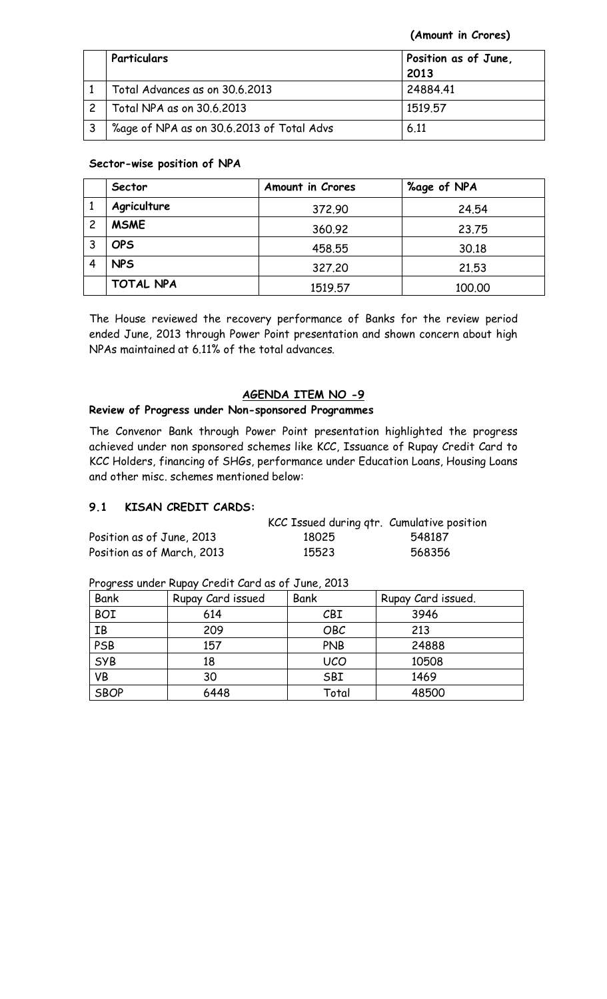**(Amount in Crores)**

| Particulars                               | Position as of June,<br>2013 |
|-------------------------------------------|------------------------------|
| Total Advances as on 30.6.2013            | 24884.41                     |
| Total NPA as on 30.6.2013                 | 1519.57                      |
| %age of NPA as on 30.6.2013 of Total Advs | 6.11                         |

#### **Sector-wise position of NPA**

|   | Sector           | <b>Amount in Crores</b> | %age of NPA |
|---|------------------|-------------------------|-------------|
|   | Agriculture      | 372.90                  | 24.54       |
| 2 | <b>MSME</b>      | 360.92                  | 23.75       |
| 3 | <b>OPS</b>       | 458.55                  | 30.18       |
|   | <b>NPS</b>       | 327,20                  | 21.53       |
|   | <b>TOTAL NPA</b> | 1519.57                 | 100.00      |

The House reviewed the recovery performance of Banks for the review period ended June, 2013 through Power Point presentation and shown concern about high NPAs maintained at 6.11% of the total advances.

## **AGENDA ITEM NO -9**

## **Review of Progress under Non-sponsored Programmes**

The Convenor Bank through Power Point presentation highlighted the progress achieved under non sponsored schemes like KCC, Issuance of Rupay Credit Card to KCC Holders, financing of SHGs, performance under Education Loans, Housing Loans and other misc. schemes mentioned below:

## **9.1 KISAN CREDIT CARDS:**

|                            | KCC Issued during qtr. Cumulative position |        |
|----------------------------|--------------------------------------------|--------|
| Position as of June, 2013  | 18025                                      | 548187 |
| Position as of March, 2013 | 15523                                      | 568356 |

| Bank        | Rupay Card issued | Bank       | Rupay Card issued. |
|-------------|-------------------|------------|--------------------|
| <b>BOI</b>  | 614               | CBI        | 3946               |
| IB          | 209               | OBC        | 213                |
| PSB         | 157               | <b>PNB</b> | 24888              |
| SYB         | 18                | <b>UCO</b> | 10508              |
| <b>VB</b>   | 30                | SBI        | 1469               |
| <b>SBOP</b> | 6448              | Total      | 48500              |

Progress under Rupay Credit Card as of June, 2013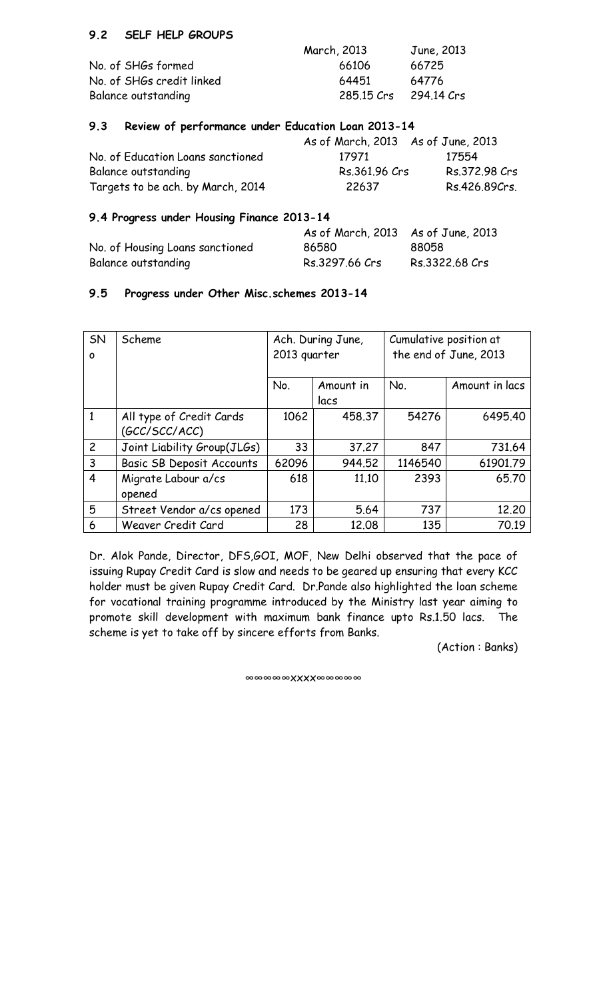## **9.2 SELF HELP GROUPS**

|                           | March, 2013 | June, 2013 |
|---------------------------|-------------|------------|
| No. of SHGs formed        | 66106       | 66725      |
| No. of SHGs credit linked | 64451       | 64776      |
| Balance outstanding       | 285.15 Crs  | 294.14 Crs |

#### **9.3 Review of performance under Education Loan 2013-14**

|                                   | As of March, 2013 As of June, 2013 |               |
|-----------------------------------|------------------------------------|---------------|
| No. of Education Loans sanctioned | 17971                              | 17554         |
| Balance outstanding               | Rs.361.96 Crs                      | Rs.372.98 Crs |
| Targets to be ach. by March, 2014 | 22637                              | Rs.426.89Crs. |

## **9.4 Progress under Housing Finance 2013-14**

|                                 | As of March, 2013 As of June, 2013 |                |
|---------------------------------|------------------------------------|----------------|
| No. of Housing Loans sanctioned | 86580                              | 88058          |
| Balance outstanding             | Rs.3297.66 Crs                     | Rs.3322.68 Crs |

#### **9.5 Progress under Other Misc.schemes 2013-14**

| SN<br>O        | Scheme                                    | Ach. During June,<br>2013 quarter |                   | Cumulative position at | the end of June, 2013 |
|----------------|-------------------------------------------|-----------------------------------|-------------------|------------------------|-----------------------|
|                |                                           | No.                               | Amount in<br>lacs | No.                    | Amount in lacs        |
| 1              | All type of Credit Cards<br>(GCC/SCC/ACC) | 1062                              | 458.37            | 54276                  | 6495.40               |
| $\overline{c}$ | Joint Liability Group(JLGs)               | 33                                | 37.27             | 847                    | 731.64                |
| 3              | <b>Basic SB Deposit Accounts</b>          | 62096                             | 944.52            | 1146540                | 61901.79              |
| $\overline{4}$ | Migrate Labour a/cs<br>opened             | 618                               | 11.10             | 2393                   | 65.70                 |
| 5              | Street Vendor a/cs opened                 | 173                               | 5.64              | 737                    | 12,20                 |
| 6              | Weaver Credit Card                        | 28                                | 12.08             | 135                    | 70.19                 |

Dr. Alok Pande, Director, DFS,GOI, MOF, New Delhi observed that the pace of issuing Rupay Credit Card is slow and needs to be geared up ensuring that every KCC holder must be given Rupay Credit Card. Dr.Pande also highlighted the loan scheme for vocational training programme introduced by the Ministry last year aiming to promote skill development with maximum bank finance upto Rs.1.50 lacs. The scheme is yet to take off by sincere efforts from Banks.

(Action : Banks)

∞∞∞∞∞xxxx∞∞∞∞∞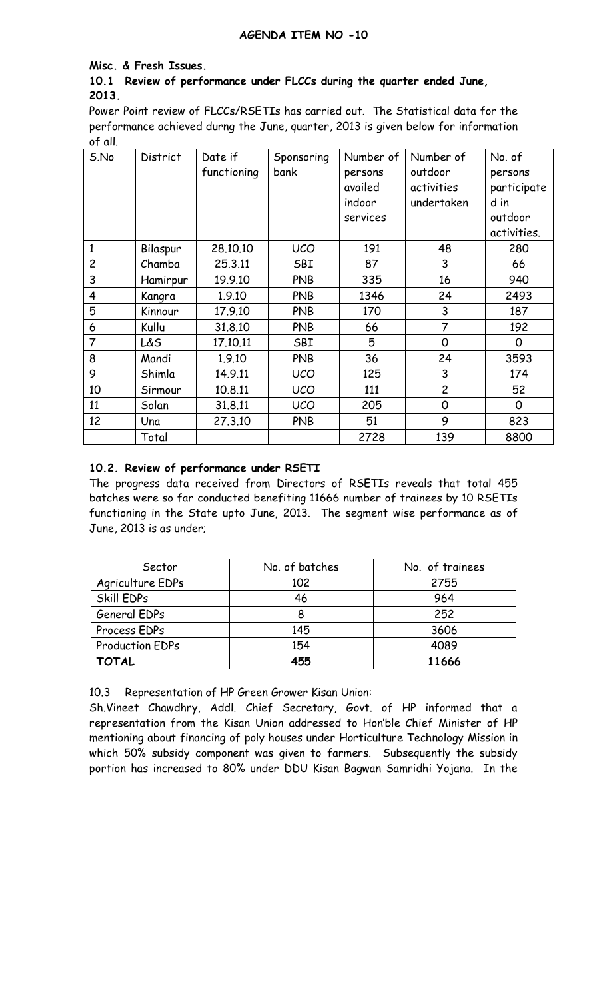## **AGENDA ITEM NO -10**

#### **Misc. & Fresh Issues.**

#### **10.1 Review of performance under FLCCs during the quarter ended June, 2013.**

Power Point review of FLCCs/RSETIs has carried out. The Statistical data for the performance achieved durng the June, quarter, 2013 is given below for information of all.

| S.No           | District | Date if     | Sponsoring | Number of | Number of      | No. of      |
|----------------|----------|-------------|------------|-----------|----------------|-------------|
|                |          | functioning | bank       | persons   | outdoor        | persons     |
|                |          |             |            | availed   | activities     | participate |
|                |          |             |            | indoor    | undertaken     | d in        |
|                |          |             |            | services  |                | outdoor     |
|                |          |             |            |           |                | activities. |
| 1              | Bilaspur | 28.10.10    | <b>UCO</b> | 191       | 48             | 280         |
| $\overline{c}$ | Chamba   | 25.3.11     | SBI        | 87        | 3              | 66          |
| 3              | Hamirpur | 19.9.10     | <b>PNB</b> | 335       | 16             | 940         |
| 4              | Kangra   | 1.9.10      | <b>PNB</b> | 1346      | 24             | 2493        |
| 5              | Kinnour  | 17.9.10     | <b>PNB</b> | 170       | 3              | 187         |
| 6              | Kullu    | 31.8.10     | <b>PNB</b> | 66        | 7              | 192         |
| $\overline{7}$ | L&S      | 17.10.11    | SBI        | 5         | $\mathbf 0$    | 0           |
| 8              | Mandi    | 1.9.10      | <b>PNB</b> | 36        | 24             | 3593        |
| 9              | Shimla   | 14.9.11     | <b>UCO</b> | 125       | 3              | 174         |
| 10             | Sirmour  | 10.8.11     | <b>UCO</b> | 111       | $\overline{c}$ | 52          |
| 11             | Solan    | 31.8.11     | <b>UCO</b> | 205       | 0              | 0           |
| 12             | Una      | 27.3.10     | <b>PNB</b> | 51        | 9              | 823         |
|                | Total    |             |            | 2728      | 139            | 8800        |

## **10.2. Review of performance under RSETI**

The progress data received from Directors of RSETIs reveals that total 455 batches were so far conducted benefiting 11666 number of trainees by 10 RSETIs functioning in the State upto June, 2013. The segment wise performance as of June, 2013 is as under;

| Sector                 | No. of batches | No. of trainees |
|------------------------|----------------|-----------------|
| Agriculture EDPs       | 102            | 2755            |
| Skill EDPs             | 46             | 964             |
| General EDPs           | 8              | 252             |
| Process EDPs           | 145            | 3606            |
| <b>Production EDPs</b> | 154            | 4089            |
| <b>TOTAL</b>           | 455            | 11666           |

10.3 Representation of HP Green Grower Kisan Union:

Sh.Vineet Chawdhry, Addl. Chief Secretary, Govt. of HP informed that a representation from the Kisan Union addressed to Hon'ble Chief Minister of HP mentioning about financing of poly houses under Horticulture Technology Mission in which 50% subsidy component was given to farmers. Subsequently the subsidy portion has increased to 80% under DDU Kisan Bagwan Samridhi Yojana. In the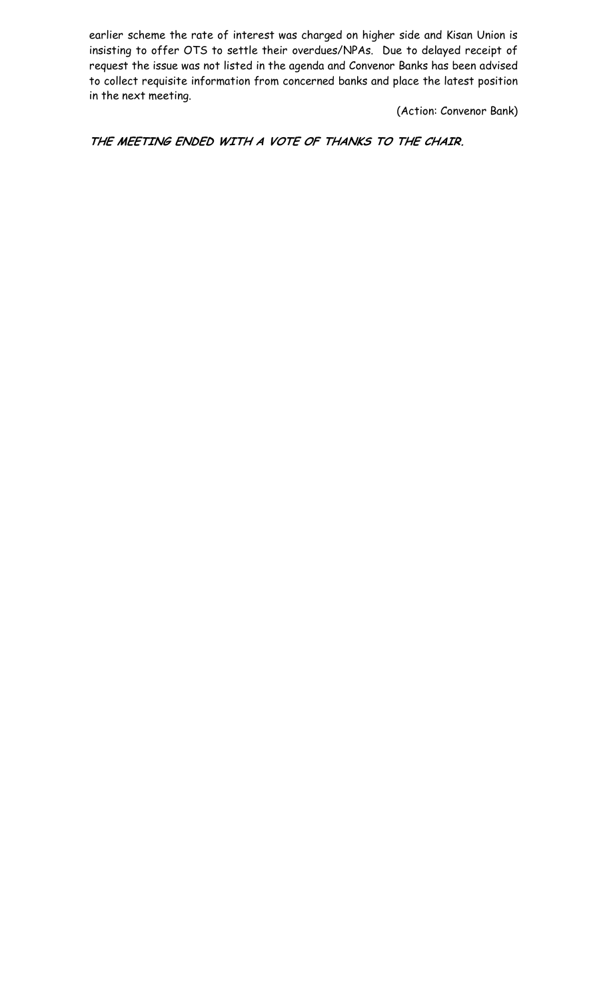earlier scheme the rate of interest was charged on higher side and Kisan Union is insisting to offer OTS to settle their overdues/NPAs. Due to delayed receipt of request the issue was not listed in the agenda and Convenor Banks has been advised to collect requisite information from concerned banks and place the latest position in the next meeting.

(Action: Convenor Bank)

**THE MEETING ENDED WITH A VOTE OF THANKS TO THE CHAIR.**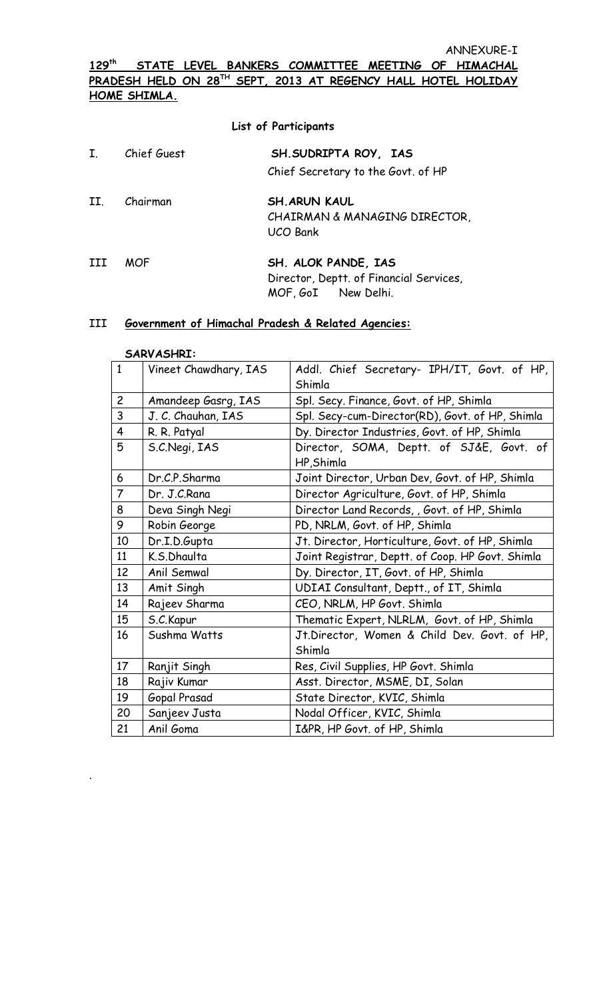## **129th STATE LEVEL BANKERS COMMITTEE MEETING OF HIMACHAL PRADESH HELD ON 28TH SEPT, 2013 AT REGENCY HALL HOTEL HOLIDAY HOME SHIMLA.**

|              |             | <b>List of Participants</b>                                                           |
|--------------|-------------|---------------------------------------------------------------------------------------|
| $\mathbf{I}$ | Chief Guest | SH. SUDRIPTA ROY, IAS<br>Chief Secretary to the Govt. of HP                           |
| II.          | Chairman    | <b>SH. ARUN KAUL</b><br>CHAIRMAN & MANAGING DIRECTOR,<br><b>UCO Bank</b>              |
|              | <b>MOF</b>  | SH. ALOK PANDE, IAS<br>Director, Deptt. of Financial Services,<br>MOF, GoI New Delhi. |

#### III **Government of Himachal Pradesh & Related Agencies:**

#### **SARVASHRI:**

.

| $\mathbf{1}$   | Vineet Chawdhary, IAS                                        | Addl. Chief Secretary- IPH/IT, Govt. of HP,            |  |  |  |  |  |  |
|----------------|--------------------------------------------------------------|--------------------------------------------------------|--|--|--|--|--|--|
|                |                                                              | Shimla                                                 |  |  |  |  |  |  |
| $\overline{c}$ | Amandeep Gasrg, IAS                                          | Spl. Secy. Finance, Govt. of HP, Shimla                |  |  |  |  |  |  |
| 3              | J. C. Chauhan, IAS                                           | Spl. Secy-cum-Director(RD), Govt. of HP, Shimla        |  |  |  |  |  |  |
| $\overline{4}$ | Dy. Director Industries, Govt. of HP, Shimla<br>R. R. Patyal |                                                        |  |  |  |  |  |  |
| 5              | S.C.Negi, IAS                                                | Director, SOMA, Deptt. of SJ&E, Govt. of<br>HP, Shimla |  |  |  |  |  |  |
| 6              | Dr.C.P.Sharma                                                | Joint Director, Urban Dev, Govt. of HP, Shimla         |  |  |  |  |  |  |
| $\overline{7}$ | Dr. J.C.Rana                                                 | Director Agriculture, Govt. of HP, Shimla              |  |  |  |  |  |  |
| 8              | Deva Singh Negi                                              | Director Land Records, , Govt. of HP, Shimla           |  |  |  |  |  |  |
| 9              | Robin George                                                 | PD, NRLM, Govt. of HP, Shimla                          |  |  |  |  |  |  |
| 10             | Dr.I.D.Gupta                                                 | Jt. Director, Horticulture, Govt. of HP, Shimla        |  |  |  |  |  |  |
| 11             | K.S.Dhaulta                                                  | Joint Registrar, Deptt. of Coop. HP Govt. Shimla       |  |  |  |  |  |  |
| 12             | Anil Semwal                                                  | Dy. Director, IT, Govt. of HP, Shimla                  |  |  |  |  |  |  |
| 13             | Amit Singh                                                   | UDIAI Consultant, Deptt., of IT, Shimla                |  |  |  |  |  |  |
| 14             | Rajeev Sharma                                                | CEO, NRLM, HP Govt. Shimla                             |  |  |  |  |  |  |
| 15             | S.C.Kapur                                                    | Thematic Expert, NLRLM, Govt. of HP, Shimla            |  |  |  |  |  |  |
| 16             | Sushma Watts                                                 | Jt.Director, Women & Child Dev. Govt. of HP,<br>Shimla |  |  |  |  |  |  |
| 17             | Ranjit Singh                                                 | Res, Civil Supplies, HP Govt. Shimla                   |  |  |  |  |  |  |
| 18             | Rajiv Kumar                                                  | Asst. Director, MSME, DI, Solan                        |  |  |  |  |  |  |
| 19             | Gopal Prasad                                                 | State Director, KVIC, Shimla                           |  |  |  |  |  |  |
| 20             | Sanjeev Justa                                                | Nodal Officer, KVIC, Shimla                            |  |  |  |  |  |  |
| 21             | Anil Goma                                                    | I&PR, HP Govt. of HP, Shimla                           |  |  |  |  |  |  |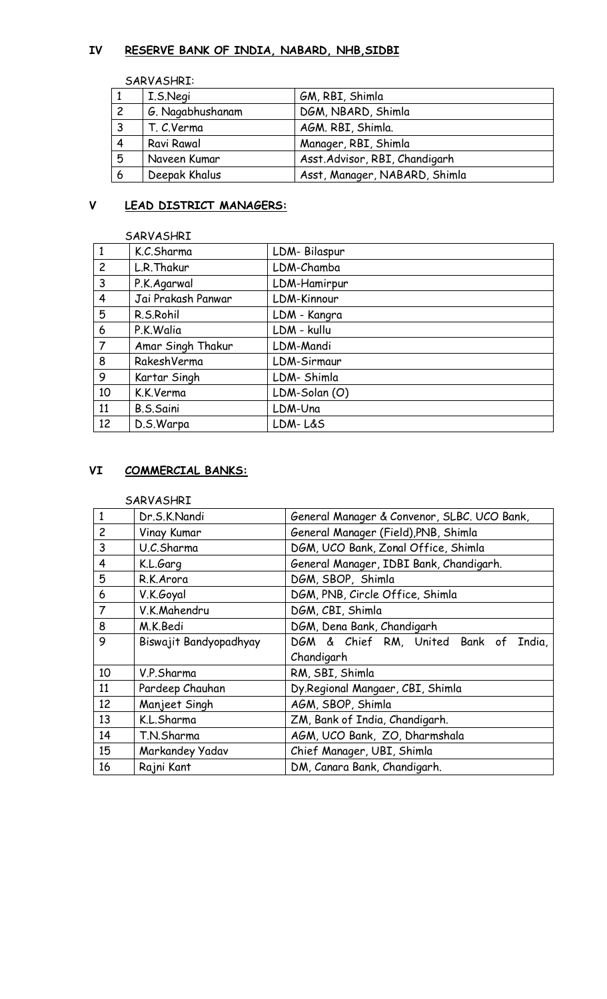## **IV RESERVE BANK OF INDIA, NABARD, NHB,SIDBI**

SARVASHRI:

|                | I.S.Negi         | GM, RBI, Shimla                |
|----------------|------------------|--------------------------------|
| $\overline{c}$ | G. Nagabhushanam | DGM, NBARD, Shimla             |
|                | T. C.Verma       | AGM. RBI, Shimla.              |
| $\overline{4}$ | Ravi Rawal       | Manager, RBI, Shimla           |
| 5              | Naveen Kumar     | Asst. Advisor, RBI, Chandigarh |
| 6              | Deepak Khalus    | Asst, Manager, NABARD, Shimla  |

# **V LEAD DISTRICT MANAGERS:**

|                | SARVASHRI          |               |
|----------------|--------------------|---------------|
| 1              | K.C.Sharma         | LDM-Bilaspur  |
| $\overline{c}$ | L.R. Thakur        | LDM-Chamba    |
| 3              | P.K.Agarwal        | LDM-Hamirpur  |
| $\overline{4}$ | Jai Prakash Panwar | LDM-Kinnour   |
| 5              | R.S.Rohil          | LDM - Kangra  |
| 6              | P.K.Walia          | LDM - kullu   |
| $\overline{7}$ | Amar Singh Thakur  | LDM-Mandi     |
| 8              | RakeshVerma        | LDM-Sirmaur   |
| 9              | Kartar Singh       | LDM-Shimla    |
| 10             | K.K.Verma          | LDM-Solan (O) |
| 11             | B.S.Saini          | LDM-Una       |
| 12             | D.S.Warpa          | LDM-L&S       |

## **VI COMMERCIAL BANKS:**

#### SARVASHRI

| $\mathbf{1}$   | Dr.S.K.Nandi           | General Manager & Convenor, SLBC. UCO Bank, |  |  |  |  |  |  |  |  |  |
|----------------|------------------------|---------------------------------------------|--|--|--|--|--|--|--|--|--|
| $\overline{c}$ | Vinay Kumar            | General Manager (Field), PNB, Shimla        |  |  |  |  |  |  |  |  |  |
| 3              | U.C.Sharma             | DGM, UCO Bank, Zonal Office, Shimla         |  |  |  |  |  |  |  |  |  |
| 4              | K.L.Garg               | General Manager, IDBI Bank, Chandigarh.     |  |  |  |  |  |  |  |  |  |
| 5              | R.K.Arora              | DGM, SBOP, Shimla                           |  |  |  |  |  |  |  |  |  |
| 6              | V.K.Goyal              | DGM, PNB, Circle Office, Shimla             |  |  |  |  |  |  |  |  |  |
| $\overline{7}$ | V.K.Mahendru           | DGM, CBI, Shimla                            |  |  |  |  |  |  |  |  |  |
| 8              | M.K.Bedi               | DGM, Dena Bank, Chandigarh                  |  |  |  |  |  |  |  |  |  |
| 9              | Biswajit Bandyopadhyay | DGM & Chief RM, United Bank of<br>India,    |  |  |  |  |  |  |  |  |  |
|                |                        | Chandigarh                                  |  |  |  |  |  |  |  |  |  |
| 10             | V.P.Sharma             | RM, SBI, Shimla                             |  |  |  |  |  |  |  |  |  |
| 11             | Pardeep Chauhan        | Dy.Regional Mangaer, CBI, Shimla            |  |  |  |  |  |  |  |  |  |
| 12             | Manjeet Singh          | AGM, SBOP, Shimla                           |  |  |  |  |  |  |  |  |  |
| 13             | K.L.Sharma             | ZM, Bank of India, Chandigarh.              |  |  |  |  |  |  |  |  |  |
| 14             | T.N.Sharma             | AGM, UCO Bank, ZO, Dharmshala               |  |  |  |  |  |  |  |  |  |
| 15             | Markandey Yadav        | Chief Manager, UBI, Shimla                  |  |  |  |  |  |  |  |  |  |
| 16             | Rajni Kant             | DM, Canara Bank, Chandigarh.                |  |  |  |  |  |  |  |  |  |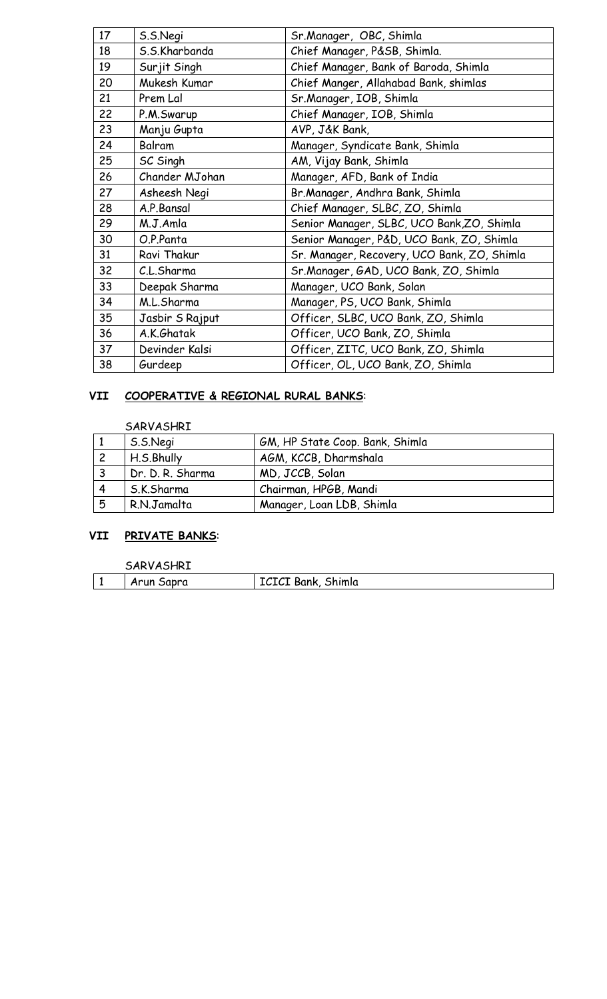| 17 | S.S.Negi        | Sr.Manager, OBC, Shimla                     |  |  |  |  |  |
|----|-----------------|---------------------------------------------|--|--|--|--|--|
| 18 | S.S.Kharbanda   | Chief Manager, P&SB, Shimla.                |  |  |  |  |  |
| 19 | Surjit Singh    | Chief Manager, Bank of Baroda, Shimla       |  |  |  |  |  |
| 20 | Mukesh Kumar    | Chief Manger, Allahabad Bank, shimlas       |  |  |  |  |  |
| 21 | Prem Lal        | Sr.Manager, IOB, Shimla                     |  |  |  |  |  |
| 22 | P.M.Swarup      | Chief Manager, IOB, Shimla                  |  |  |  |  |  |
| 23 | Manju Gupta     | AVP, J&K Bank,                              |  |  |  |  |  |
| 24 | Balram          | Manager, Syndicate Bank, Shimla             |  |  |  |  |  |
| 25 | SC Singh        | AM, Vijay Bank, Shimla                      |  |  |  |  |  |
| 26 | Chander MJohan  | Manager, AFD, Bank of India                 |  |  |  |  |  |
| 27 | Asheesh Negi    | Br.Manager, Andhra Bank, Shimla             |  |  |  |  |  |
| 28 | A.P.Bansal      | Chief Manager, SLBC, ZO, Shimla             |  |  |  |  |  |
| 29 | M.J.Amla        | Senior Manager, SLBC, UCO Bank, ZO, Shimla  |  |  |  |  |  |
| 30 | O.P.Panta       | Senior Manager, P&D, UCO Bank, ZO, Shimla   |  |  |  |  |  |
| 31 | Ravi Thakur     | Sr. Manager, Recovery, UCO Bank, ZO, Shimla |  |  |  |  |  |
| 32 | C.L.Sharma      | Sr.Manager, GAD, UCO Bank, ZO, Shimla       |  |  |  |  |  |
| 33 | Deepak Sharma   | Manager, UCO Bank, Solan                    |  |  |  |  |  |
| 34 | M.L.Sharma      | Manager, PS, UCO Bank, Shimla               |  |  |  |  |  |
| 35 | Jasbir S Rajput | Officer, SLBC, UCO Bank, ZO, Shimla         |  |  |  |  |  |
| 36 | A.K.Ghatak      | Officer, UCO Bank, ZO, Shimla               |  |  |  |  |  |
| 37 | Devinder Kalsi  | Officer, ZITC, UCO Bank, ZO, Shimla         |  |  |  |  |  |
| 38 | Gurdeep         | Officer, OL, UCO Bank, ZO, Shimla           |  |  |  |  |  |

# **VII COOPERATIVE & REGIONAL RURAL BANKS**:

SARVASHRI

|   | S.S.Negi         | GM, HP State Coop. Bank, Shimla |
|---|------------------|---------------------------------|
|   | H.S.Bhully       | AGM, KCCB, Dharmshala           |
| ີ | Dr. D. R. Sharma | MD, JCCB, Solan                 |
|   | S.K.Sharma       | Chairman, HPGB, Mandi           |
| 5 | R.N.Jamalta      | Manager, Loan LDB, Shimla       |

# **VII PRIVATE BANKS**:

|   | 'HRI<br>SAPV.                 |                    |
|---|-------------------------------|--------------------|
| - | Sapra<br>\run<br>$\mathbf{r}$ | ICICI Bank, Shimla |